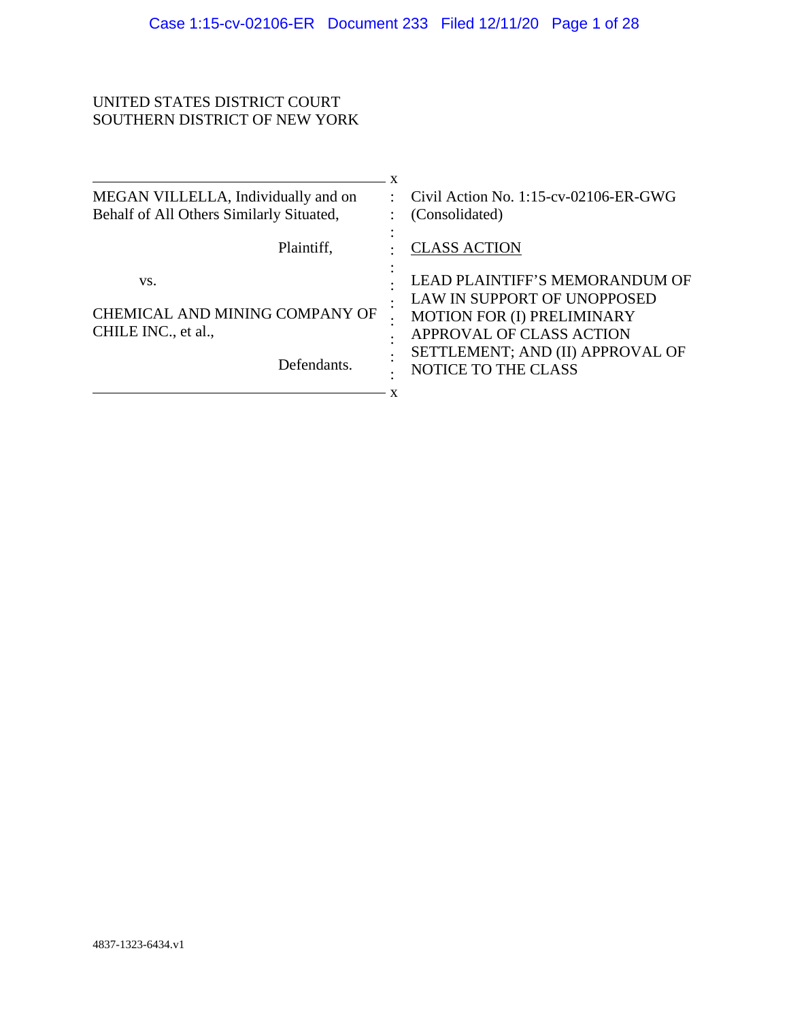## UNITED STATES DISTRICT COURT SOUTHERN DISTRICT OF NEW YORK

| MEGAN VILLELLA, Individually and on<br>Behalf of All Others Similarly Situated, | Civil Action No. $1:15$ -cv-02106-ER-GWG<br>(Consolidated)                                                                                                                                       |
|---------------------------------------------------------------------------------|--------------------------------------------------------------------------------------------------------------------------------------------------------------------------------------------------|
| Plaintiff,                                                                      | <b>CLASS ACTION</b>                                                                                                                                                                              |
| VS.<br>CHEMICAL AND MINING COMPANY OF<br>CHILE INC., et al.,<br>Defendants.     | <b>LEAD PLAINTIFF'S MEMORANDUM OF</b><br>LAW IN SUPPORT OF UNOPPOSED<br><b>MOTION FOR (I) PRELIMINARY</b><br>APPROVAL OF CLASS ACTION<br>SETTLEMENT; AND (II) APPROVAL OF<br>NOTICE TO THE CLASS |
|                                                                                 |                                                                                                                                                                                                  |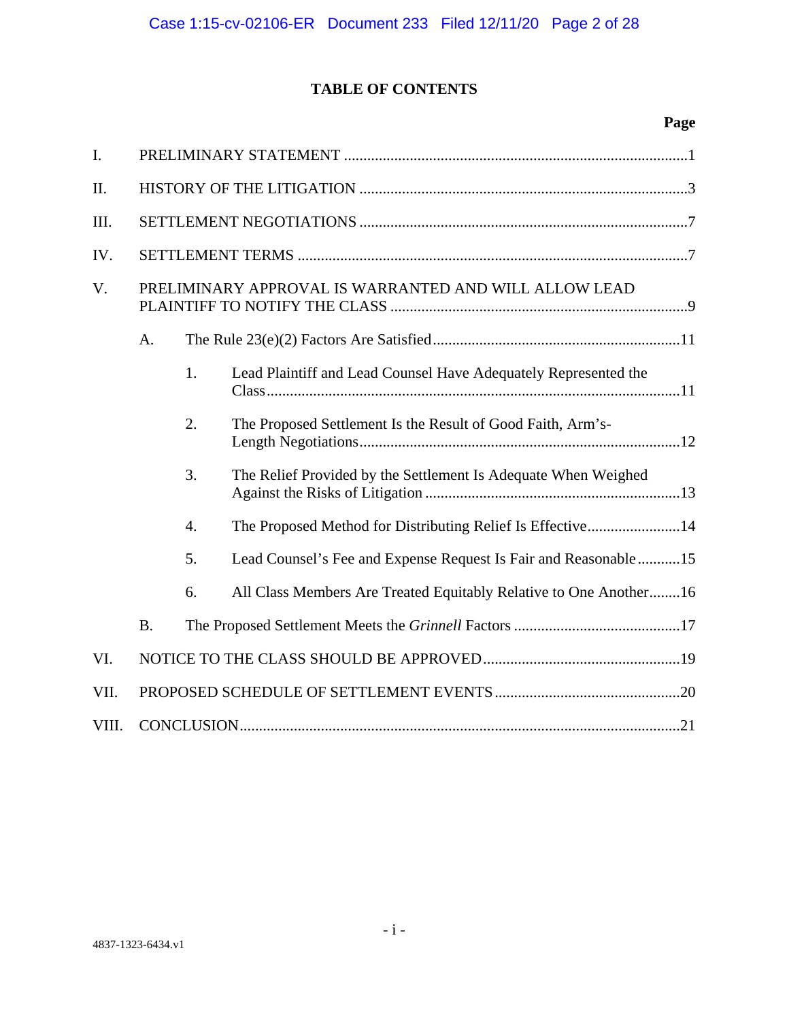# **TABLE OF CONTENTS**

# **Page**

| $\overline{I}$ . |           |                  |                                                                             |
|------------------|-----------|------------------|-----------------------------------------------------------------------------|
| II.              |           |                  |                                                                             |
| III.             |           |                  |                                                                             |
| IV.              |           |                  |                                                                             |
| V.               |           |                  | PRELIMINARY APPROVAL IS WARRANTED AND WILL ALLOW LEAD                       |
|                  | A.        |                  |                                                                             |
|                  |           | 1.               | Lead Plaintiff and Lead Counsel Have Adequately Represented the<br>Class 11 |
|                  |           | 2.               | The Proposed Settlement Is the Result of Good Faith, Arm's-                 |
|                  |           | 3.               | The Relief Provided by the Settlement Is Adequate When Weighed              |
|                  |           | $\overline{4}$ . | The Proposed Method for Distributing Relief Is Effective14                  |
|                  |           | 5.               | Lead Counsel's Fee and Expense Request Is Fair and Reasonable15             |
|                  |           | 6.               | All Class Members Are Treated Equitably Relative to One Another16           |
|                  | <b>B.</b> |                  |                                                                             |
| VI.              |           |                  |                                                                             |
| VII.             |           |                  |                                                                             |
| VIII.            |           |                  |                                                                             |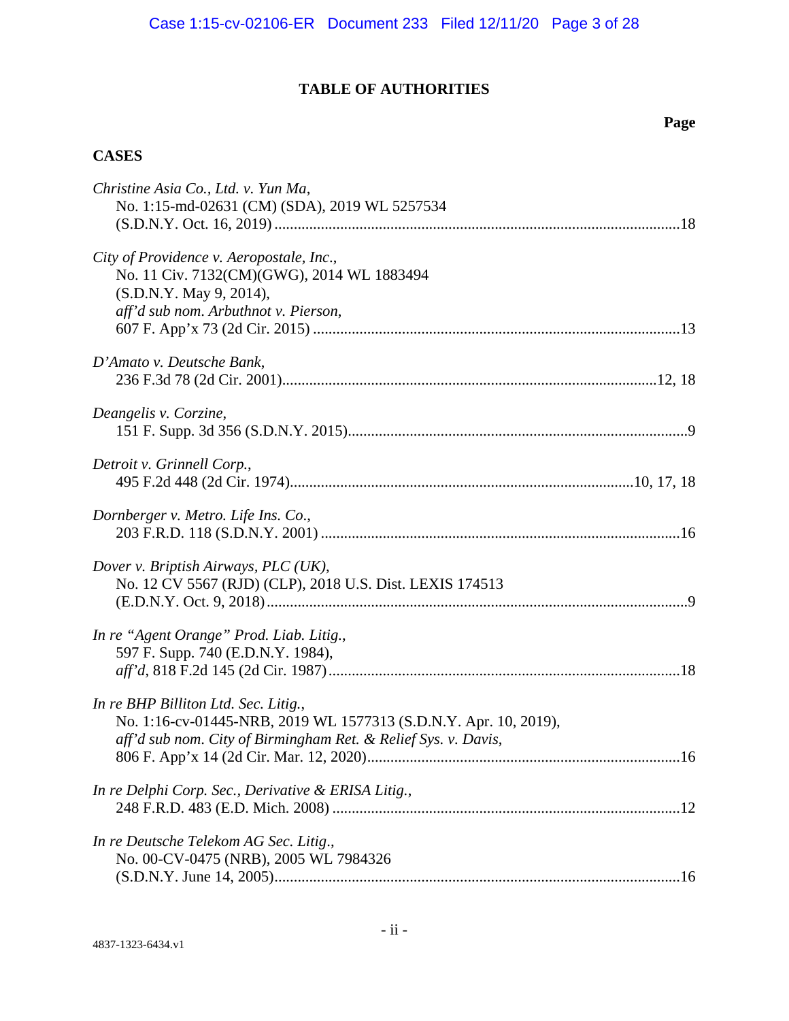# **TABLE OF AUTHORITIES**

# **Page**

# **CASES**

| Christine Asia Co., Ltd. v. Yun Ma,<br>No. 1:15-md-02631 (CM) (SDA), 2019 WL 5257534                                                                                       |  |
|----------------------------------------------------------------------------------------------------------------------------------------------------------------------------|--|
|                                                                                                                                                                            |  |
| City of Providence v. Aeropostale, Inc.,<br>No. 11 Civ. 7132(CM)(GWG), 2014 WL 1883494<br>(S.D.N.Y. May 9, 2014),<br>aff'd sub nom. Arbuthnot v. Pierson,                  |  |
|                                                                                                                                                                            |  |
| D'Amato v. Deutsche Bank,                                                                                                                                                  |  |
| Deangelis v. Corzine,                                                                                                                                                      |  |
| Detroit v. Grinnell Corp.,                                                                                                                                                 |  |
| Dornberger v. Metro. Life Ins. Co.,                                                                                                                                        |  |
| Dover v. Briptish Airways, PLC (UK),<br>No. 12 CV 5567 (RJD) (CLP), 2018 U.S. Dist. LEXIS 174513                                                                           |  |
| In re "Agent Orange" Prod. Liab. Litig.,<br>597 F. Supp. 740 (E.D.N.Y. 1984),                                                                                              |  |
| In re BHP Billiton Ltd. Sec. Litig.,<br>No. 1:16-cv-01445-NRB, 2019 WL 1577313 (S.D.N.Y. Apr. 10, 2019),<br>aff'd sub nom. City of Birmingham Ret. & Relief Sys. v. Davis, |  |
| In re Delphi Corp. Sec., Derivative & ERISA Litig.,                                                                                                                        |  |
| In re Deutsche Telekom AG Sec. Litig.,<br>No. 00-CV-0475 (NRB), 2005 WL 7984326                                                                                            |  |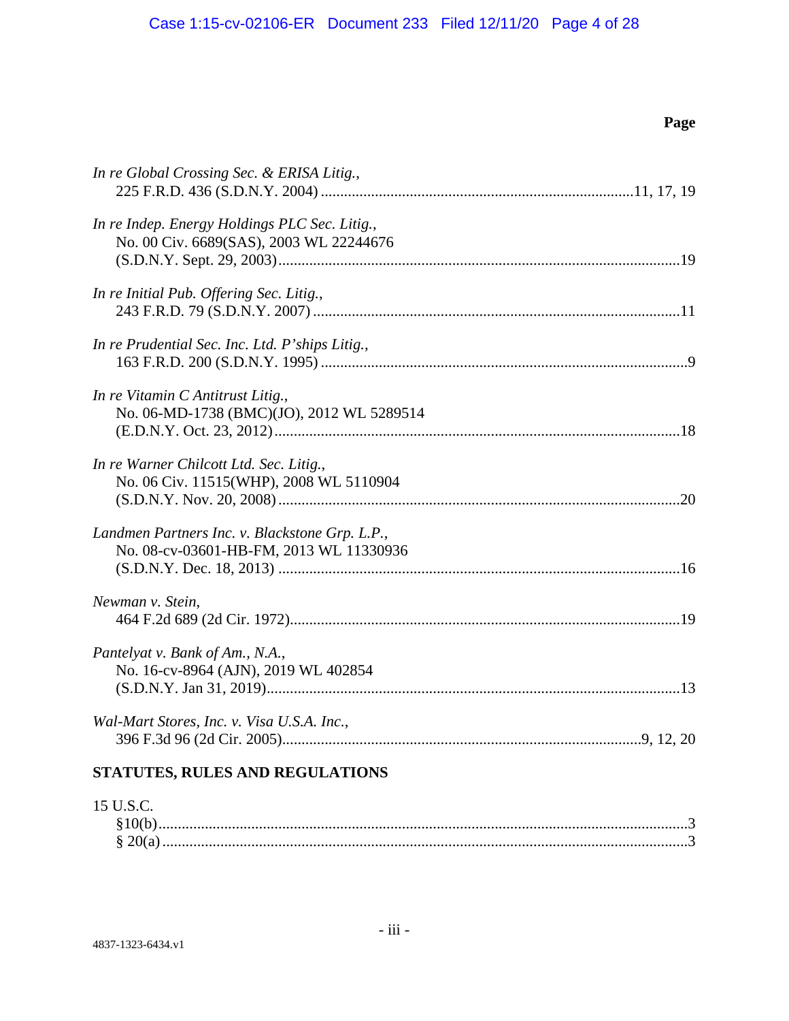# **Page**

| In re Global Crossing Sec. & ERISA Litig.,                                                |  |
|-------------------------------------------------------------------------------------------|--|
| In re Indep. Energy Holdings PLC Sec. Litig.,<br>No. 00 Civ. 6689(SAS), 2003 WL 22244676  |  |
| In re Initial Pub. Offering Sec. Litig.,                                                  |  |
| In re Prudential Sec. Inc. Ltd. P'ships Litig.,                                           |  |
| In re Vitamin C Antitrust Litig.,<br>No. 06-MD-1738 (BMC)(JO), 2012 WL 5289514            |  |
| In re Warner Chilcott Ltd. Sec. Litig.,<br>No. 06 Civ. 11515(WHP), 2008 WL 5110904        |  |
| Landmen Partners Inc. v. Blackstone Grp. L.P.,<br>No. 08-cv-03601-HB-FM, 2013 WL 11330936 |  |
| Newman v. Stein,                                                                          |  |
| Pantelyat v. Bank of Am., N.A.,<br>No. 16-cv-8964 (AJN), 2019 WL 402854                   |  |
| Wal-Mart Stores, Inc. v. Visa U.S.A. Inc.,                                                |  |
| STATUTES, RULES AND REGULATIONS                                                           |  |
| 15 U.S.C.                                                                                 |  |

| $\frac{8}{20(a) \dots}$ |  |
|-------------------------|--|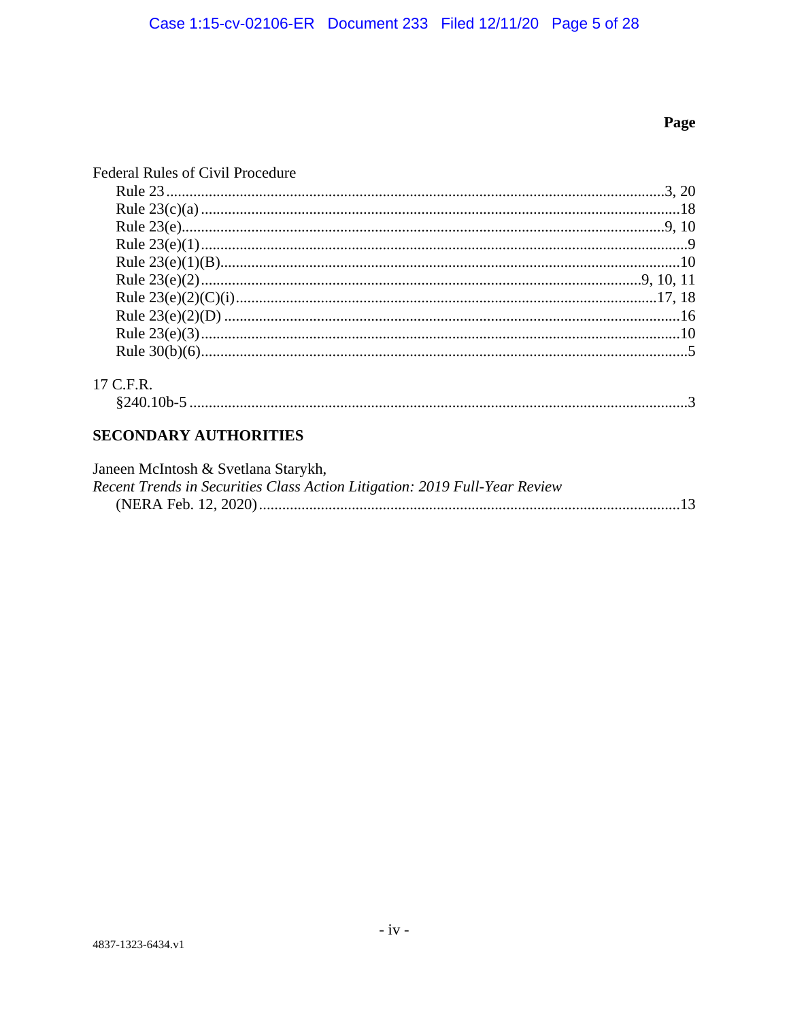# Page

| Federal Rules of Civil Procedure |  |
|----------------------------------|--|
|                                  |  |
|                                  |  |
|                                  |  |
|                                  |  |
|                                  |  |
|                                  |  |
|                                  |  |
|                                  |  |
|                                  |  |
|                                  |  |
| 17 C F R                         |  |

# 

# **SECONDARY AUTHORITIES**

| Janeen McIntosh & Svetlana Starykh,                                        |  |
|----------------------------------------------------------------------------|--|
| Recent Trends in Securities Class Action Litigation: 2019 Full-Year Review |  |
|                                                                            |  |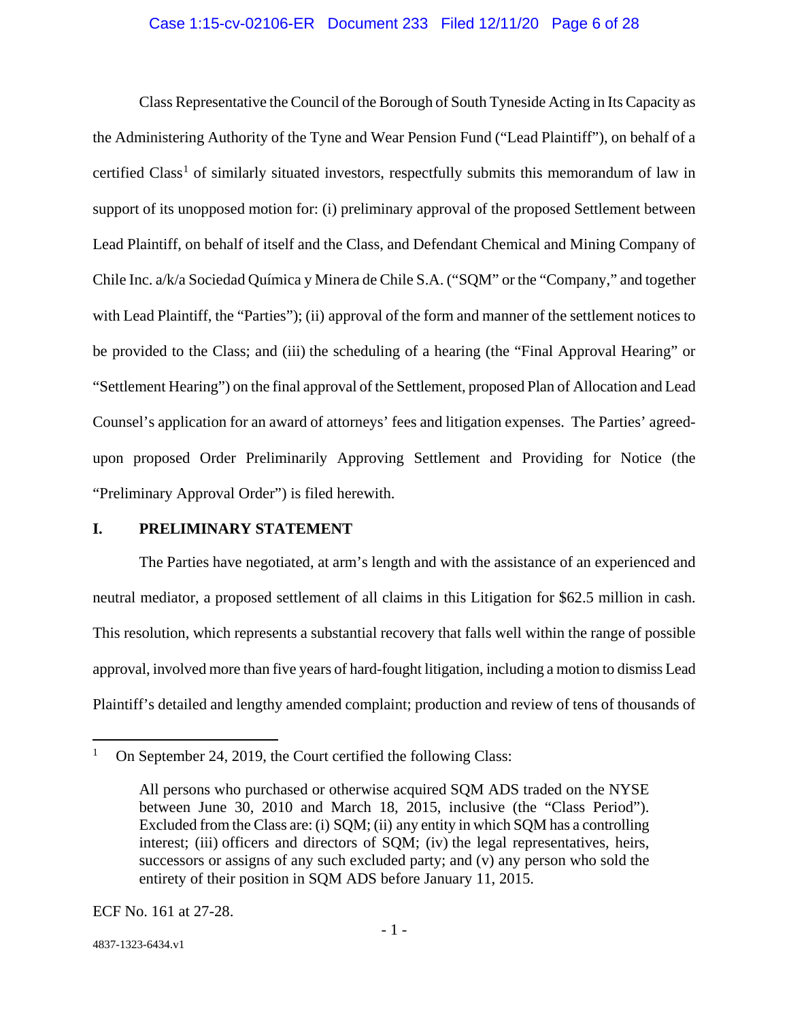### Case 1:15-cv-02106-ER Document 233 Filed 12/11/20 Page 6 of 28

Class Representative the Council of the Borough of South Tyneside Acting in Its Capacity as the Administering Authority of the Tyne and Wear Pension Fund ("Lead Plaintiff"), on behalf of a certified Class<sup>1</sup> of similarly situated investors, respectfully submits this memorandum of law in support of its unopposed motion for: (i) preliminary approval of the proposed Settlement between Lead Plaintiff, on behalf of itself and the Class, and Defendant Chemical and Mining Company of Chile Inc. a/k/a Sociedad Química y Minera de Chile S.A. ("SQM" or the "Company," and together with Lead Plaintiff, the "Parties"); (ii) approval of the form and manner of the settlement notices to be provided to the Class; and (iii) the scheduling of a hearing (the "Final Approval Hearing" or "Settlement Hearing") on the final approval of the Settlement, proposed Plan of Allocation and Lead Counsel's application for an award of attorneys' fees and litigation expenses. The Parties' agreedupon proposed Order Preliminarily Approving Settlement and Providing for Notice (the "Preliminary Approval Order") is filed herewith.

## **I. PRELIMINARY STATEMENT**

The Parties have negotiated, at arm's length and with the assistance of an experienced and neutral mediator, a proposed settlement of all claims in this Litigation for \$62.5 million in cash. This resolution, which represents a substantial recovery that falls well within the range of possible approval, involved more than five years of hard-fought litigation, including a motion to dismiss Lead Plaintiff's detailed and lengthy amended complaint; production and review of tens of thousands of

 <sup>1</sup> On September 24, 2019, the Court certified the following Class:

All persons who purchased or otherwise acquired SQM ADS traded on the NYSE between June 30, 2010 and March 18, 2015, inclusive (the "Class Period"). Excluded from the Class are: (i) SQM; (ii) any entity in which SQM has a controlling interest; (iii) officers and directors of SQM; (iv) the legal representatives, heirs, successors or assigns of any such excluded party; and (v) any person who sold the entirety of their position in SQM ADS before January 11, 2015.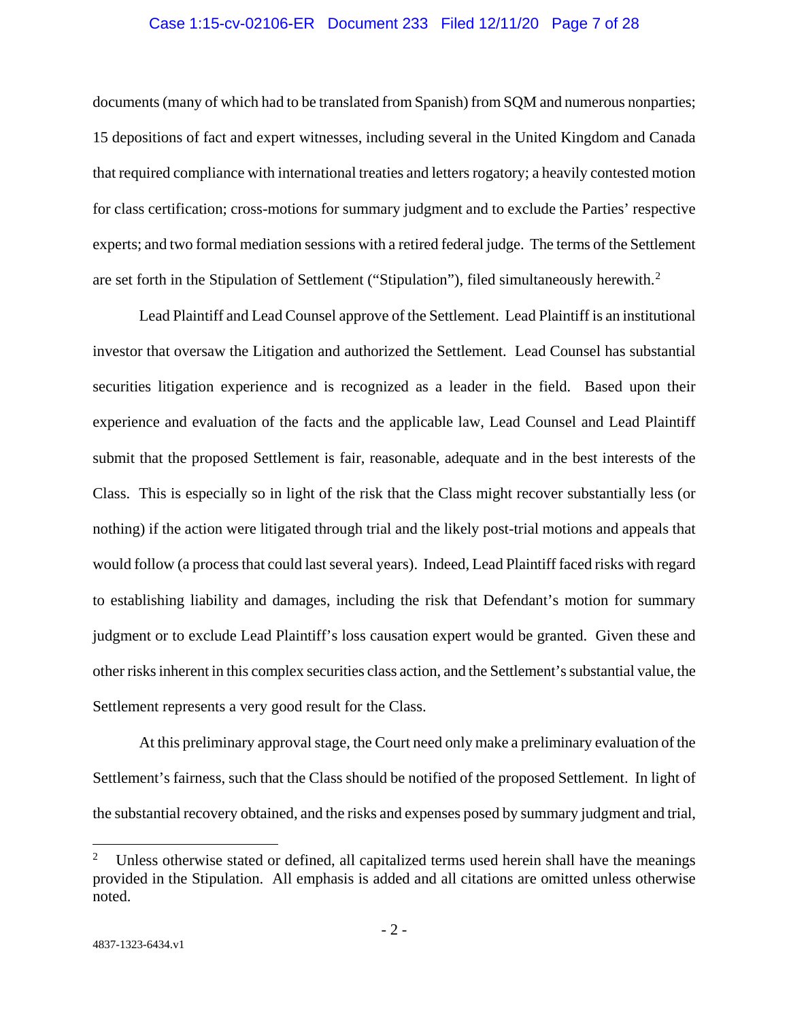#### Case 1:15-cv-02106-ER Document 233 Filed 12/11/20 Page 7 of 28

documents (many of which had to be translated from Spanish) from SQM and numerous nonparties; 15 depositions of fact and expert witnesses, including several in the United Kingdom and Canada that required compliance with international treaties and letters rogatory; a heavily contested motion for class certification; cross-motions for summary judgment and to exclude the Parties' respective experts; and two formal mediation sessions with a retired federal judge. The terms of the Settlement are set forth in the Stipulation of Settlement ("Stipulation"), filed simultaneously herewith.<sup>2</sup>

Lead Plaintiff and Lead Counsel approve of the Settlement. Lead Plaintiff is an institutional investor that oversaw the Litigation and authorized the Settlement. Lead Counsel has substantial securities litigation experience and is recognized as a leader in the field. Based upon their experience and evaluation of the facts and the applicable law, Lead Counsel and Lead Plaintiff submit that the proposed Settlement is fair, reasonable, adequate and in the best interests of the Class. This is especially so in light of the risk that the Class might recover substantially less (or nothing) if the action were litigated through trial and the likely post-trial motions and appeals that would follow (a process that could last several years). Indeed, Lead Plaintiff faced risks with regard to establishing liability and damages, including the risk that Defendant's motion for summary judgment or to exclude Lead Plaintiff's loss causation expert would be granted. Given these and other risks inherent in this complex securities class action, and the Settlement's substantial value, the Settlement represents a very good result for the Class.

At this preliminary approval stage, the Court need only make a preliminary evaluation of the Settlement's fairness, such that the Class should be notified of the proposed Settlement. In light of the substantial recovery obtained, and the risks and expenses posed by summary judgment and trial,

<sup>&</sup>lt;sup>2</sup> Unless otherwise stated or defined, all capitalized terms used herein shall have the meanings provided in the Stipulation. All emphasis is added and all citations are omitted unless otherwise noted.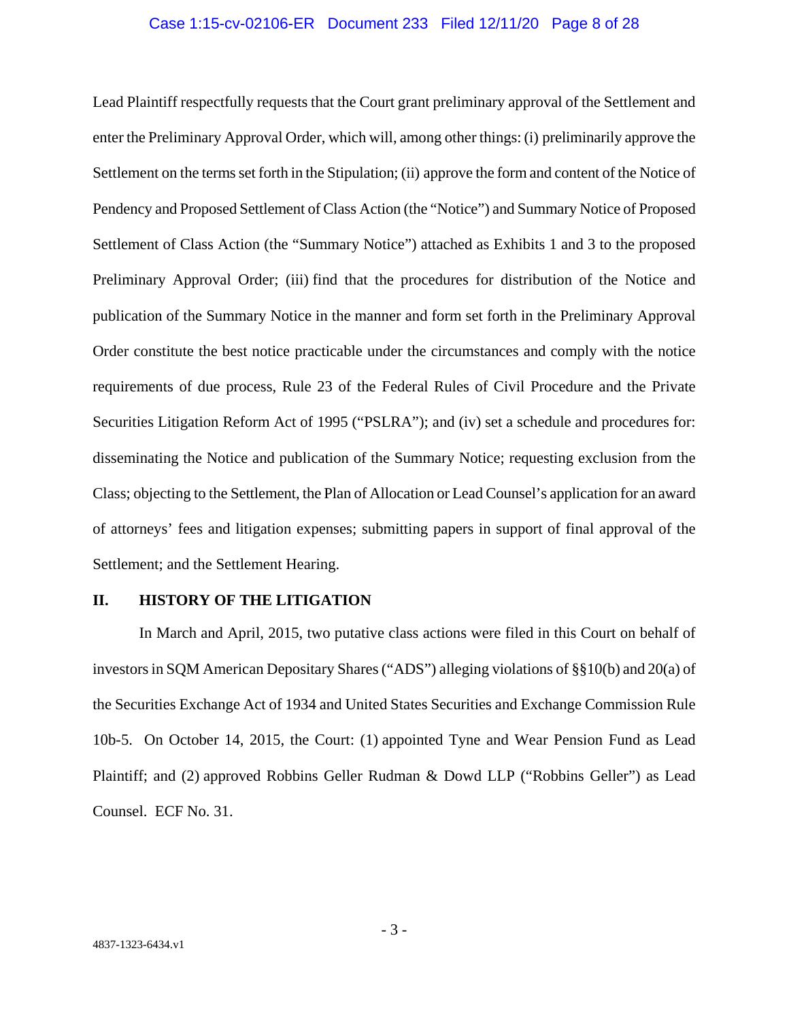#### Case 1:15-cv-02106-ER Document 233 Filed 12/11/20 Page 8 of 28

Lead Plaintiff respectfully requests that the Court grant preliminary approval of the Settlement and enter the Preliminary Approval Order, which will, among other things: (i) preliminarily approve the Settlement on the terms set forth in the Stipulation; (ii) approve the form and content of the Notice of Pendency and Proposed Settlement of Class Action (the "Notice") and Summary Notice of Proposed Settlement of Class Action (the "Summary Notice") attached as Exhibits 1 and 3 to the proposed Preliminary Approval Order; (iii) find that the procedures for distribution of the Notice and publication of the Summary Notice in the manner and form set forth in the Preliminary Approval Order constitute the best notice practicable under the circumstances and comply with the notice requirements of due process, Rule 23 of the Federal Rules of Civil Procedure and the Private Securities Litigation Reform Act of 1995 ("PSLRA"); and (iv) set a schedule and procedures for: disseminating the Notice and publication of the Summary Notice; requesting exclusion from the Class; objecting to the Settlement, the Plan of Allocation or Lead Counsel's application for an award of attorneys' fees and litigation expenses; submitting papers in support of final approval of the Settlement; and the Settlement Hearing.

#### **II. HISTORY OF THE LITIGATION**

In March and April, 2015, two putative class actions were filed in this Court on behalf of investors in SQM American Depositary Shares ("ADS") alleging violations of §§10(b) and 20(a) of the Securities Exchange Act of 1934 and United States Securities and Exchange Commission Rule 10b-5. On October 14, 2015, the Court: (1) appointed Tyne and Wear Pension Fund as Lead Plaintiff; and (2) approved Robbins Geller Rudman & Dowd LLP ("Robbins Geller") as Lead Counsel. ECF No. 31.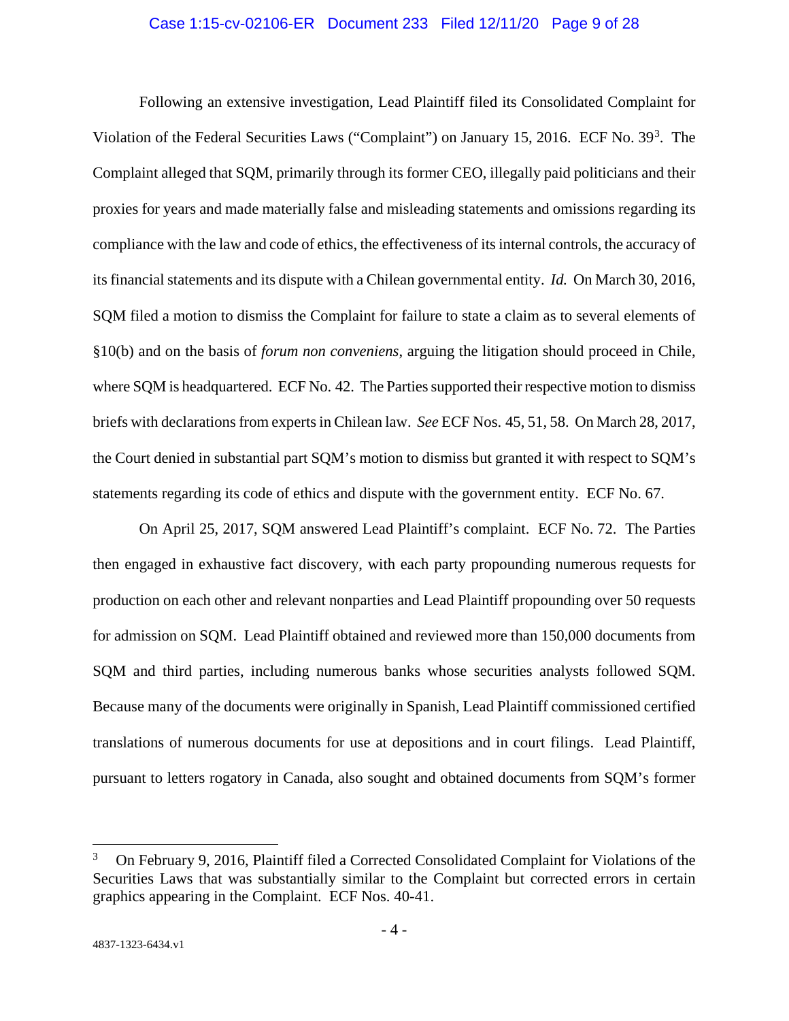#### Case 1:15-cv-02106-ER Document 233 Filed 12/11/20 Page 9 of 28

Following an extensive investigation, Lead Plaintiff filed its Consolidated Complaint for Violation of the Federal Securities Laws ("Complaint") on January 15, 2016. ECF No. 39<sup>3</sup>. The Complaint alleged that SQM, primarily through its former CEO, illegally paid politicians and their proxies for years and made materially false and misleading statements and omissions regarding its compliance with the law and code of ethics, the effectiveness of its internal controls, the accuracy of its financial statements and its dispute with a Chilean governmental entity. *Id.* On March 30, 2016, SQM filed a motion to dismiss the Complaint for failure to state a claim as to several elements of §10(b) and on the basis of *forum non conveniens*, arguing the litigation should proceed in Chile, where SQM is headquartered. ECF No. 42. The Parties supported their respective motion to dismiss briefs with declarations from experts in Chilean law. *See* ECF Nos. 45, 51, 58. On March 28, 2017, the Court denied in substantial part SQM's motion to dismiss but granted it with respect to SQM's statements regarding its code of ethics and dispute with the government entity. ECF No. 67.

On April 25, 2017, SQM answered Lead Plaintiff's complaint. ECF No. 72. The Parties then engaged in exhaustive fact discovery, with each party propounding numerous requests for production on each other and relevant nonparties and Lead Plaintiff propounding over 50 requests for admission on SQM. Lead Plaintiff obtained and reviewed more than 150,000 documents from SQM and third parties, including numerous banks whose securities analysts followed SQM. Because many of the documents were originally in Spanish, Lead Plaintiff commissioned certified translations of numerous documents for use at depositions and in court filings. Lead Plaintiff, pursuant to letters rogatory in Canada, also sought and obtained documents from SQM's former

 <sup>3</sup> On February 9, 2016, Plaintiff filed a Corrected Consolidated Complaint for Violations of the Securities Laws that was substantially similar to the Complaint but corrected errors in certain graphics appearing in the Complaint. ECF Nos. 40-41.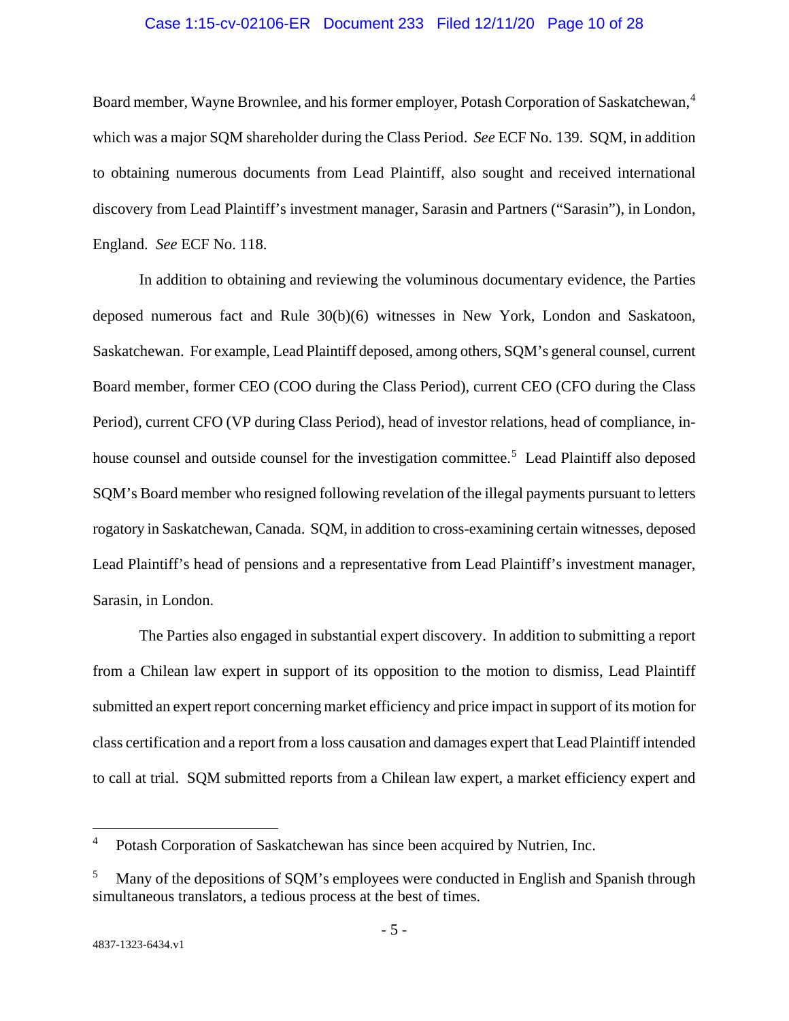#### Case 1:15-cv-02106-ER Document 233 Filed 12/11/20 Page 10 of 28

Board member, Wayne Brownlee, and his former employer, Potash Corporation of Saskatchewan,<sup>4</sup> which was a major SQM shareholder during the Class Period. *See* ECF No. 139. SQM, in addition to obtaining numerous documents from Lead Plaintiff, also sought and received international discovery from Lead Plaintiff's investment manager, Sarasin and Partners ("Sarasin"), in London, England. *See* ECF No. 118.

In addition to obtaining and reviewing the voluminous documentary evidence, the Parties deposed numerous fact and Rule 30(b)(6) witnesses in New York, London and Saskatoon, Saskatchewan. For example, Lead Plaintiff deposed, among others, SQM's general counsel, current Board member, former CEO (COO during the Class Period), current CEO (CFO during the Class Period), current CFO (VP during Class Period), head of investor relations, head of compliance, inhouse counsel and outside counsel for the investigation committee.<sup>5</sup> Lead Plaintiff also deposed SQM's Board member who resigned following revelation of the illegal payments pursuant to letters rogatory in Saskatchewan, Canada. SQM, in addition to cross-examining certain witnesses, deposed Lead Plaintiff's head of pensions and a representative from Lead Plaintiff's investment manager, Sarasin, in London.

The Parties also engaged in substantial expert discovery. In addition to submitting a report from a Chilean law expert in support of its opposition to the motion to dismiss, Lead Plaintiff submitted an expert report concerning market efficiency and price impact in support of its motion for class certification and a report from a loss causation and damages expert that Lead Plaintiff intended to call at trial. SQM submitted reports from a Chilean law expert, a market efficiency expert and

<sup>&</sup>lt;sup>4</sup> Potash Corporation of Saskatchewan has since been acquired by Nutrien, Inc.

<sup>&</sup>lt;sup>5</sup> Many of the depositions of SQM's employees were conducted in English and Spanish through simultaneous translators, a tedious process at the best of times.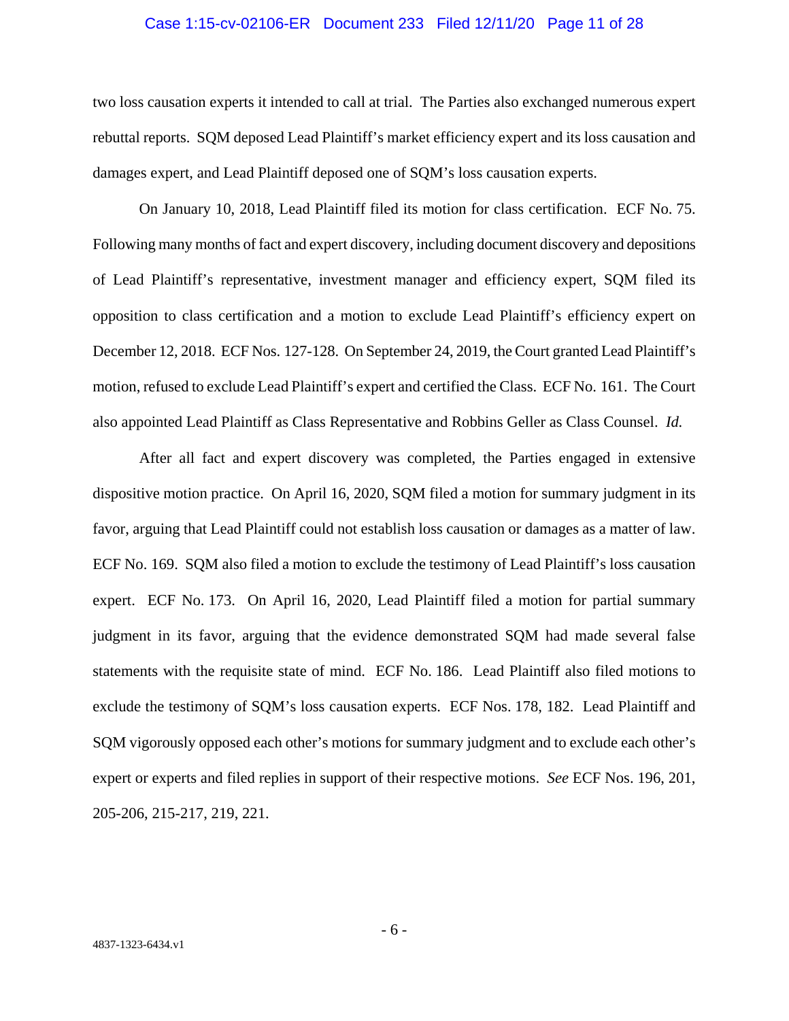#### Case 1:15-cv-02106-ER Document 233 Filed 12/11/20 Page 11 of 28

two loss causation experts it intended to call at trial. The Parties also exchanged numerous expert rebuttal reports. SQM deposed Lead Plaintiff's market efficiency expert and its loss causation and damages expert, and Lead Plaintiff deposed one of SQM's loss causation experts.

On January 10, 2018, Lead Plaintiff filed its motion for class certification. ECF No. 75. Following many months of fact and expert discovery, including document discovery and depositions of Lead Plaintiff's representative, investment manager and efficiency expert, SQM filed its opposition to class certification and a motion to exclude Lead Plaintiff's efficiency expert on December 12, 2018. ECF Nos. 127-128. On September 24, 2019, the Court granted Lead Plaintiff's motion, refused to exclude Lead Plaintiff's expert and certified the Class. ECF No. 161. The Court also appointed Lead Plaintiff as Class Representative and Robbins Geller as Class Counsel. *Id.*

After all fact and expert discovery was completed, the Parties engaged in extensive dispositive motion practice. On April 16, 2020, SQM filed a motion for summary judgment in its favor, arguing that Lead Plaintiff could not establish loss causation or damages as a matter of law. ECF No. 169. SQM also filed a motion to exclude the testimony of Lead Plaintiff's loss causation expert. ECF No. 173. On April 16, 2020, Lead Plaintiff filed a motion for partial summary judgment in its favor, arguing that the evidence demonstrated SQM had made several false statements with the requisite state of mind. ECF No. 186. Lead Plaintiff also filed motions to exclude the testimony of SQM's loss causation experts. ECF Nos. 178, 182. Lead Plaintiff and SQM vigorously opposed each other's motions for summary judgment and to exclude each other's expert or experts and filed replies in support of their respective motions. *See* ECF Nos. 196, 201, 205-206, 215-217, 219, 221.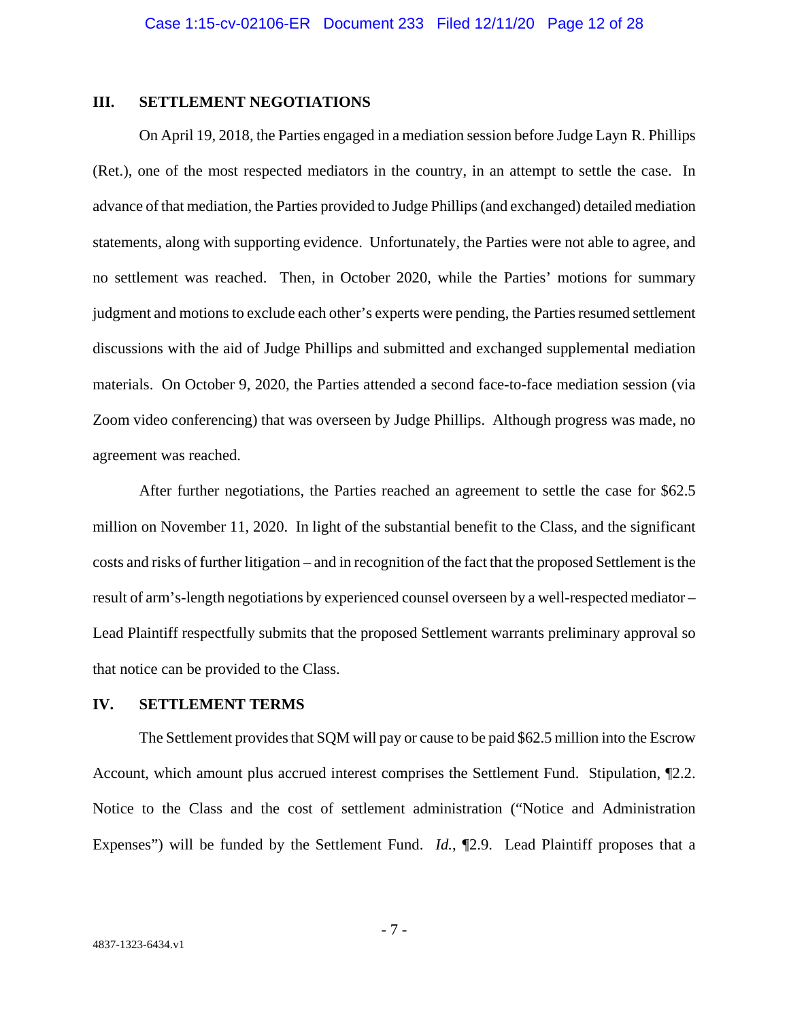## **III. SETTLEMENT NEGOTIATIONS**

On April 19, 2018, the Parties engaged in a mediation session before Judge Layn R. Phillips (Ret.), one of the most respected mediators in the country, in an attempt to settle the case. In advance of that mediation, the Parties provided to Judge Phillips (and exchanged) detailed mediation statements, along with supporting evidence. Unfortunately, the Parties were not able to agree, and no settlement was reached. Then, in October 2020, while the Parties' motions for summary judgment and motions to exclude each other's experts were pending, the Parties resumed settlement discussions with the aid of Judge Phillips and submitted and exchanged supplemental mediation materials. On October 9, 2020, the Parties attended a second face-to-face mediation session (via Zoom video conferencing) that was overseen by Judge Phillips. Although progress was made, no agreement was reached.

After further negotiations, the Parties reached an agreement to settle the case for \$62.5 million on November 11, 2020. In light of the substantial benefit to the Class, and the significant costs and risks of further litigation – and in recognition of the fact that the proposed Settlement is the result of arm's-length negotiations by experienced counsel overseen by a well-respected mediator – Lead Plaintiff respectfully submits that the proposed Settlement warrants preliminary approval so that notice can be provided to the Class.

## **IV. SETTLEMENT TERMS**

The Settlement provides that SQM will pay or cause to be paid \$62.5 million into the Escrow Account, which amount plus accrued interest comprises the Settlement Fund. Stipulation, ¶2.2. Notice to the Class and the cost of settlement administration ("Notice and Administration Expenses") will be funded by the Settlement Fund. *Id.*, 12.9. Lead Plaintiff proposes that a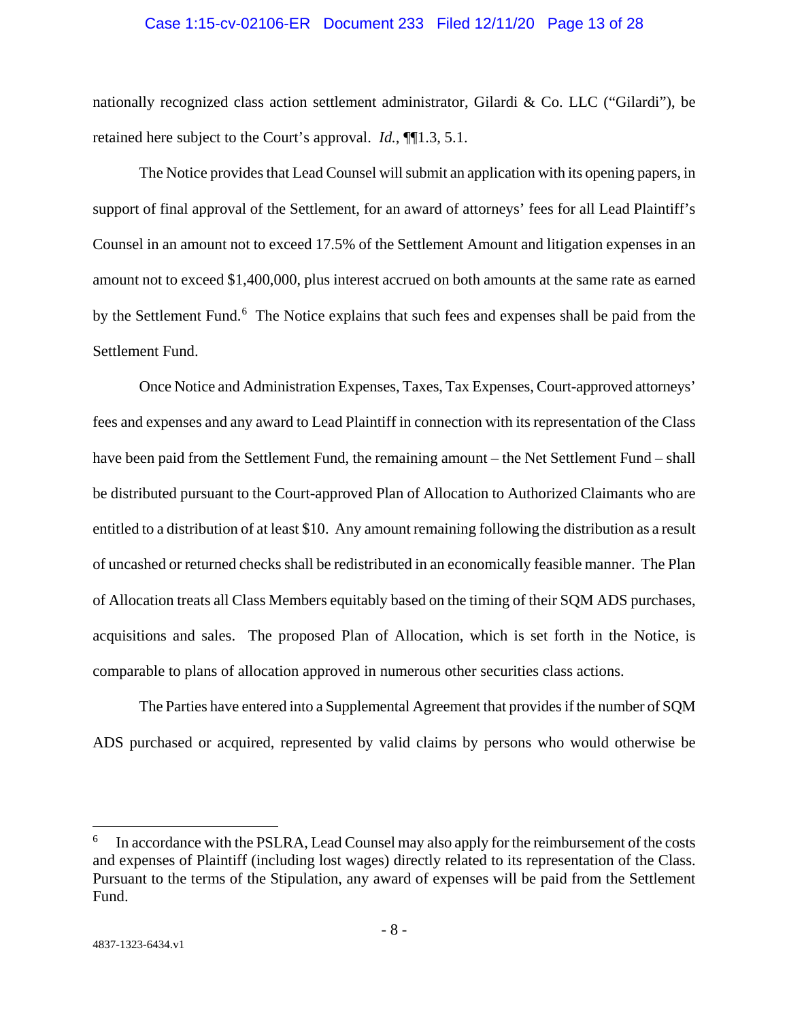#### Case 1:15-cv-02106-ER Document 233 Filed 12/11/20 Page 13 of 28

nationally recognized class action settlement administrator, Gilardi & Co. LLC ("Gilardi"), be retained here subject to the Court's approval. *Id.*, ¶¶1.3, 5.1.

The Notice provides that Lead Counsel will submit an application with its opening papers, in support of final approval of the Settlement, for an award of attorneys' fees for all Lead Plaintiff's Counsel in an amount not to exceed 17.5% of the Settlement Amount and litigation expenses in an amount not to exceed \$1,400,000, plus interest accrued on both amounts at the same rate as earned by the Settlement Fund.<sup>6</sup> The Notice explains that such fees and expenses shall be paid from the Settlement Fund.

Once Notice and Administration Expenses, Taxes, Tax Expenses, Court-approved attorneys' fees and expenses and any award to Lead Plaintiff in connection with its representation of the Class have been paid from the Settlement Fund, the remaining amount – the Net Settlement Fund – shall be distributed pursuant to the Court-approved Plan of Allocation to Authorized Claimants who are entitled to a distribution of at least \$10. Any amount remaining following the distribution as a result of uncashed or returned checks shall be redistributed in an economically feasible manner. The Plan of Allocation treats all Class Members equitably based on the timing of their SQM ADS purchases, acquisitions and sales. The proposed Plan of Allocation, which is set forth in the Notice, is comparable to plans of allocation approved in numerous other securities class actions.

The Parties have entered into a Supplemental Agreement that provides if the number of SQM ADS purchased or acquired, represented by valid claims by persons who would otherwise be

In accordance with the PSLRA, Lead Counsel may also apply for the reimbursement of the costs and expenses of Plaintiff (including lost wages) directly related to its representation of the Class. Pursuant to the terms of the Stipulation, any award of expenses will be paid from the Settlement Fund.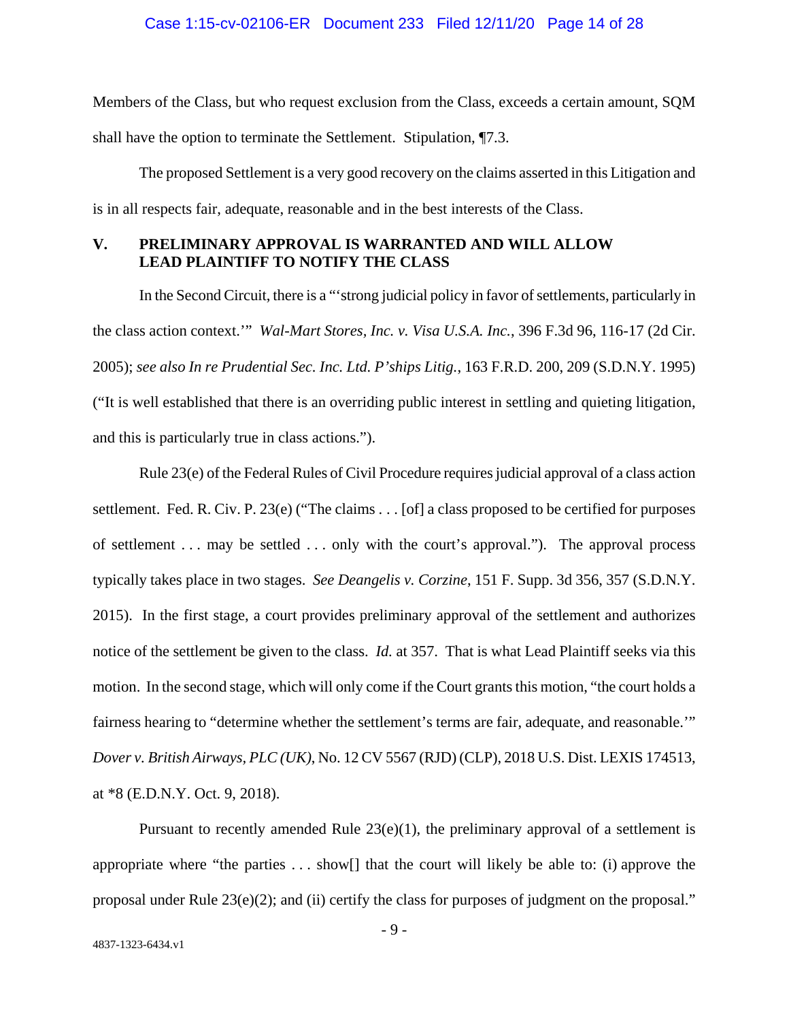Members of the Class, but who request exclusion from the Class, exceeds a certain amount, SQM shall have the option to terminate the Settlement. Stipulation, ¶7.3.

The proposed Settlement is a very good recovery on the claims asserted in this Litigation and is in all respects fair, adequate, reasonable and in the best interests of the Class.

## **V. PRELIMINARY APPROVAL IS WARRANTED AND WILL ALLOW LEAD PLAINTIFF TO NOTIFY THE CLASS**

In the Second Circuit, there is a "'strong judicial policy in favor of settlements, particularly in the class action context.'" *Wal-Mart Stores, Inc. v. Visa U.S.A. Inc.*, 396 F.3d 96, 116-17 (2d Cir. 2005); *see also In re Prudential Sec. Inc. Ltd. P'ships Litig.*, 163 F.R.D. 200, 209 (S.D.N.Y. 1995) ("It is well established that there is an overriding public interest in settling and quieting litigation, and this is particularly true in class actions.").

Rule 23(e) of the Federal Rules of Civil Procedure requires judicial approval of a class action settlement. Fed. R. Civ. P. 23(e) ("The claims . . . [of] a class proposed to be certified for purposes of settlement . . . may be settled . . . only with the court's approval."). The approval process typically takes place in two stages. *See Deangelis v. Corzine*, 151 F. Supp. 3d 356, 357 (S.D.N.Y. 2015). In the first stage, a court provides preliminary approval of the settlement and authorizes notice of the settlement be given to the class. *Id.* at 357. That is what Lead Plaintiff seeks via this motion. In the second stage, which will only come if the Court grants this motion, "the court holds a fairness hearing to "determine whether the settlement's terms are fair, adequate, and reasonable.'" *Dover v. British Airways, PLC (UK)*, No. 12 CV 5567 (RJD) (CLP), 2018 U.S. Dist. LEXIS 174513, at \*8 (E.D.N.Y. Oct. 9, 2018).

Pursuant to recently amended Rule  $23(e)(1)$ , the preliminary approval of a settlement is appropriate where "the parties . . . show[] that the court will likely be able to: (i) approve the proposal under Rule 23(e)(2); and (ii) certify the class for purposes of judgment on the proposal."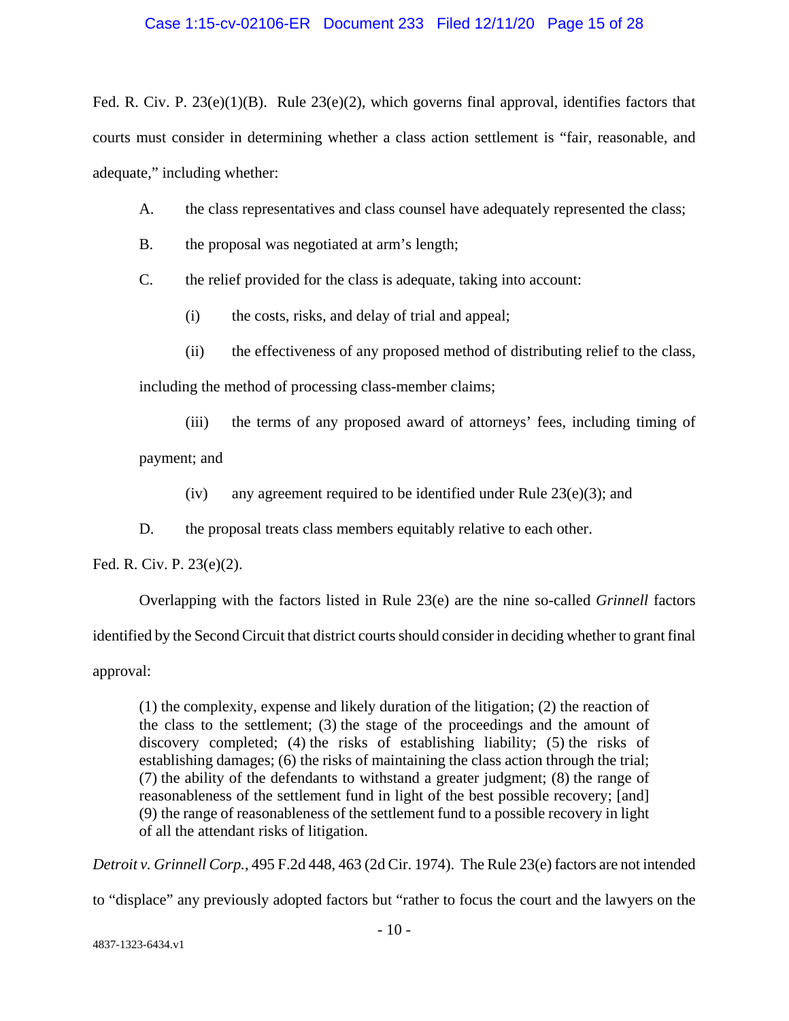Fed. R. Civ. P. 23(e)(1)(B). Rule 23(e)(2), which governs final approval, identifies factors that courts must consider in determining whether a class action settlement is "fair, reasonable, and adequate," including whether:

- A. the class representatives and class counsel have adequately represented the class;
- B. the proposal was negotiated at arm's length;

C. the relief provided for the class is adequate, taking into account:

- (i) the costs, risks, and delay of trial and appeal;
- (ii) the effectiveness of any proposed method of distributing relief to the class,

including the method of processing class-member claims;

- (iii) the terms of any proposed award of attorneys' fees, including timing of payment; and
	- (iv) any agreement required to be identified under Rule  $23(e)(3)$ ; and
- D. the proposal treats class members equitably relative to each other.

Fed. R. Civ. P. 23(e)(2).

Overlapping with the factors listed in Rule 23(e) are the nine so-called *Grinnell* factors identified by the Second Circuit that district courts should consider in deciding whether to grant final approval:

(1) the complexity, expense and likely duration of the litigation; (2) the reaction of the class to the settlement; (3) the stage of the proceedings and the amount of discovery completed; (4) the risks of establishing liability; (5) the risks of establishing damages; (6) the risks of maintaining the class action through the trial; (7) the ability of the defendants to withstand a greater judgment; (8) the range of reasonableness of the settlement fund in light of the best possible recovery; [and] (9) the range of reasonableness of the settlement fund to a possible recovery in light of all the attendant risks of litigation.

*Detroit v. Grinnell Corp.*, 495 F.2d 448, 463 (2d Cir. 1974). The Rule 23(e) factors are not intended

to "displace" any previously adopted factors but "rather to focus the court and the lawyers on the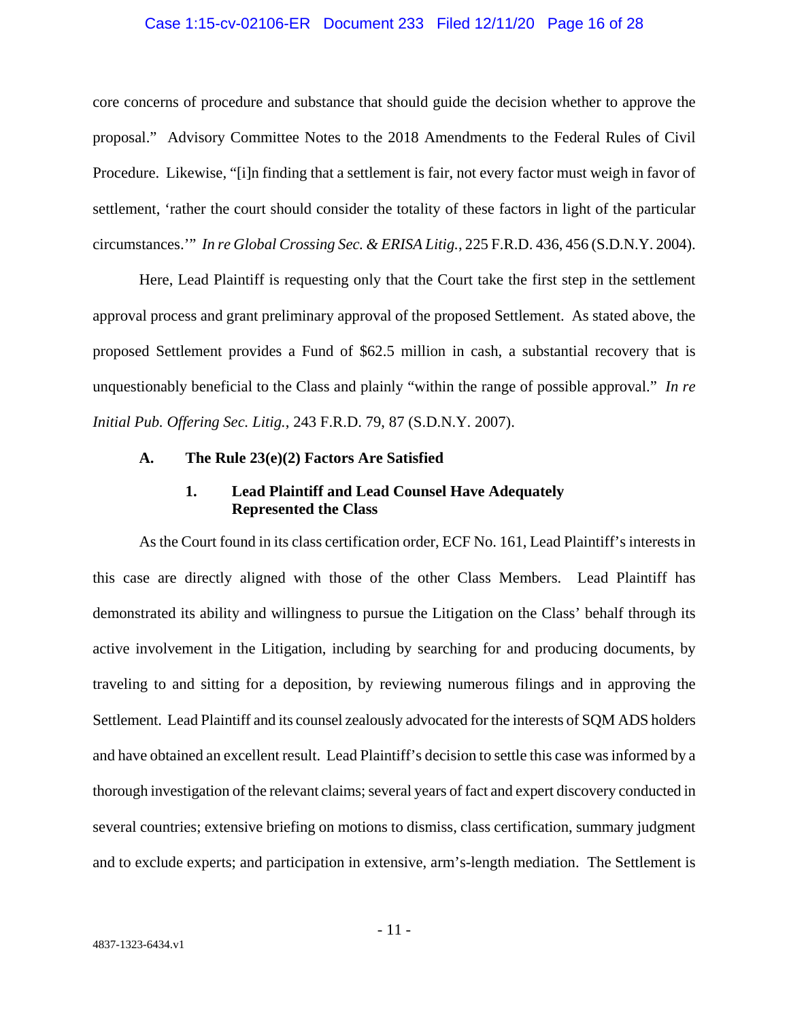#### Case 1:15-cv-02106-ER Document 233 Filed 12/11/20 Page 16 of 28

core concerns of procedure and substance that should guide the decision whether to approve the proposal." Advisory Committee Notes to the 2018 Amendments to the Federal Rules of Civil Procedure. Likewise, "[i]n finding that a settlement is fair, not every factor must weigh in favor of settlement, 'rather the court should consider the totality of these factors in light of the particular circumstances.'" *In re Global Crossing Sec. & ERISA Litig.*, 225 F.R.D. 436, 456 (S.D.N.Y. 2004).

Here, Lead Plaintiff is requesting only that the Court take the first step in the settlement approval process and grant preliminary approval of the proposed Settlement. As stated above, the proposed Settlement provides a Fund of \$62.5 million in cash, a substantial recovery that is unquestionably beneficial to the Class and plainly "within the range of possible approval." *In re Initial Pub. Offering Sec. Litig.*, 243 F.R.D. 79, 87 (S.D.N.Y. 2007).

#### **A. The Rule 23(e)(2) Factors Are Satisfied**

## **1. Lead Plaintiff and Lead Counsel Have Adequately Represented the Class**

As the Court found in its class certification order, ECF No. 161, Lead Plaintiff's interests in this case are directly aligned with those of the other Class Members. Lead Plaintiff has demonstrated its ability and willingness to pursue the Litigation on the Class' behalf through its active involvement in the Litigation, including by searching for and producing documents, by traveling to and sitting for a deposition, by reviewing numerous filings and in approving the Settlement. Lead Plaintiff and its counsel zealously advocated for the interests of SQM ADS holders and have obtained an excellent result. Lead Plaintiff's decision to settle this case was informed by a thorough investigation of the relevant claims; several years of fact and expert discovery conducted in several countries; extensive briefing on motions to dismiss, class certification, summary judgment and to exclude experts; and participation in extensive, arm's-length mediation. The Settlement is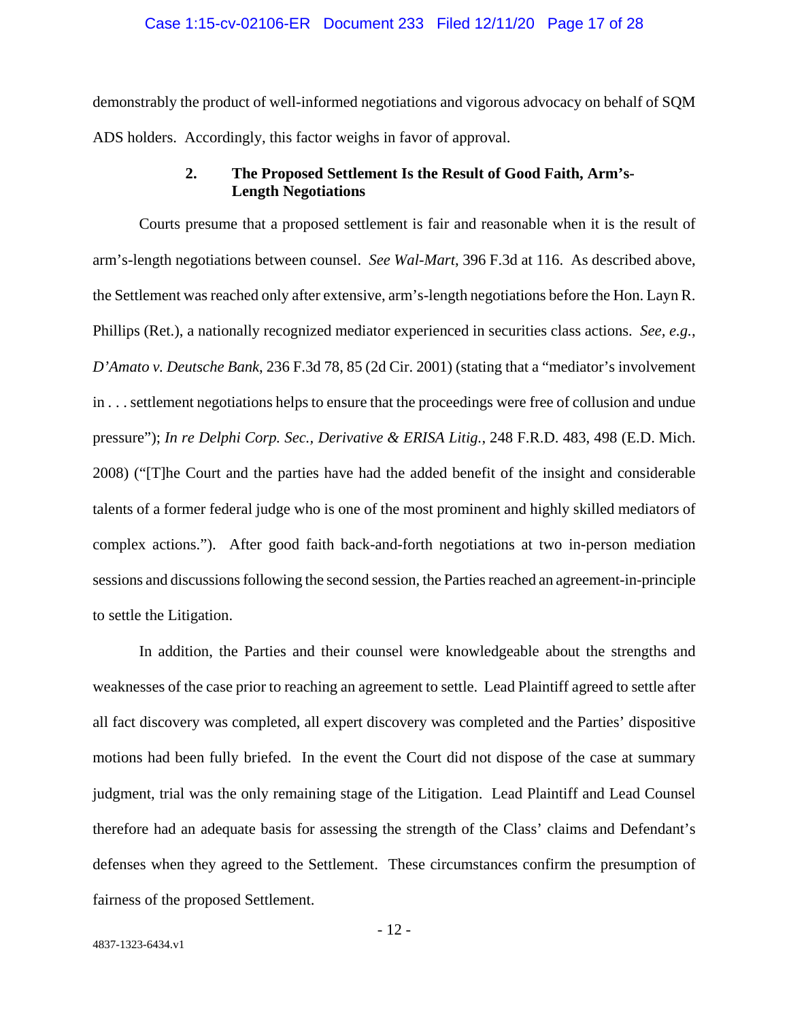#### Case 1:15-cv-02106-ER Document 233 Filed 12/11/20 Page 17 of 28

demonstrably the product of well-informed negotiations and vigorous advocacy on behalf of SQM ADS holders. Accordingly, this factor weighs in favor of approval.

## **2. The Proposed Settlement Is the Result of Good Faith, Arm's-Length Negotiations**

Courts presume that a proposed settlement is fair and reasonable when it is the result of arm's-length negotiations between counsel. *See Wal-Mart*, 396 F.3d at 116. As described above, the Settlement was reached only after extensive, arm's-length negotiations before the Hon. Layn R. Phillips (Ret.), a nationally recognized mediator experienced in securities class actions. *See, e.g.*, *D'Amato v. Deutsche Bank*, 236 F.3d 78, 85 (2d Cir. 2001) (stating that a "mediator's involvement in . . . settlement negotiations helps to ensure that the proceedings were free of collusion and undue pressure"); *In re Delphi Corp. Sec., Derivative & ERISA Litig.*, 248 F.R.D. 483, 498 (E.D. Mich. 2008) ("[T]he Court and the parties have had the added benefit of the insight and considerable talents of a former federal judge who is one of the most prominent and highly skilled mediators of complex actions."). After good faith back-and-forth negotiations at two in-person mediation sessions and discussions following the second session, the Parties reached an agreement-in-principle to settle the Litigation.

In addition, the Parties and their counsel were knowledgeable about the strengths and weaknesses of the case prior to reaching an agreement to settle. Lead Plaintiff agreed to settle after all fact discovery was completed, all expert discovery was completed and the Parties' dispositive motions had been fully briefed. In the event the Court did not dispose of the case at summary judgment, trial was the only remaining stage of the Litigation. Lead Plaintiff and Lead Counsel therefore had an adequate basis for assessing the strength of the Class' claims and Defendant's defenses when they agreed to the Settlement. These circumstances confirm the presumption of fairness of the proposed Settlement.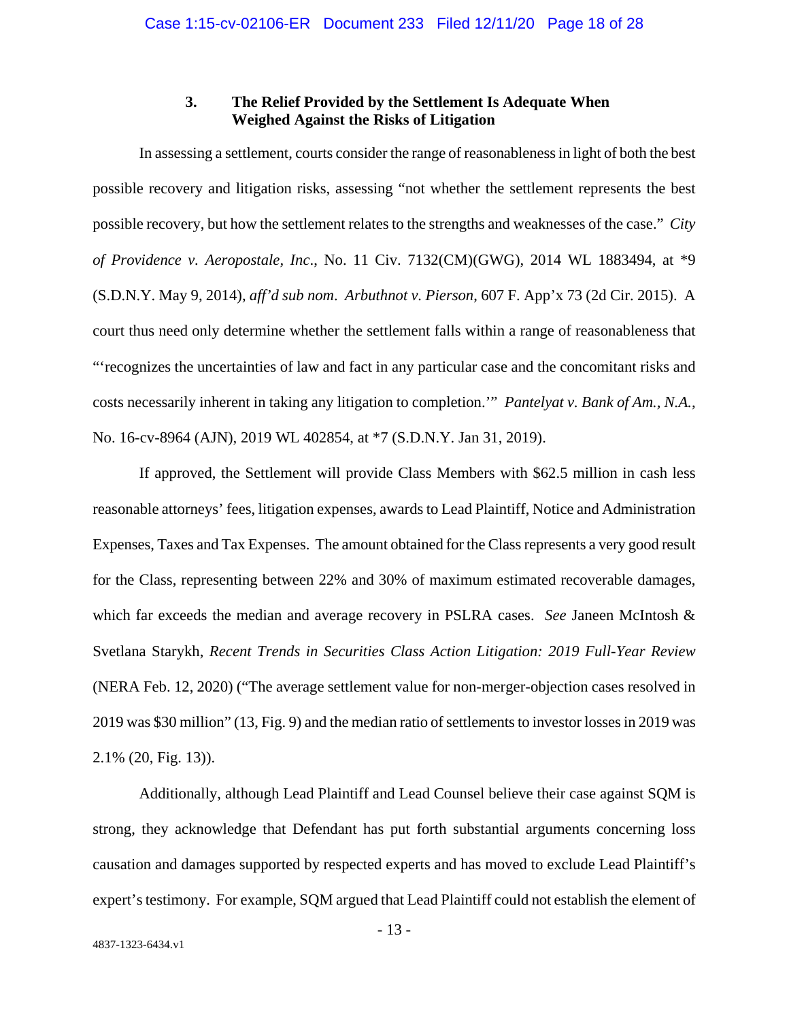## **3. The Relief Provided by the Settlement Is Adequate When Weighed Against the Risks of Litigation**

In assessing a settlement, courts consider the range of reasonableness in light of both the best possible recovery and litigation risks, assessing "not whether the settlement represents the best possible recovery, but how the settlement relates to the strengths and weaknesses of the case." *City of Providence v. Aeropostale, Inc*., No. 11 Civ. 7132(CM)(GWG), 2014 WL 1883494, at \*9 (S.D.N.Y. May 9, 2014), *aff'd sub nom*. *Arbuthnot v. Pierson*, 607 F. App'x 73 (2d Cir. 2015). A court thus need only determine whether the settlement falls within a range of reasonableness that "'recognizes the uncertainties of law and fact in any particular case and the concomitant risks and costs necessarily inherent in taking any litigation to completion.'" *Pantelyat v. Bank of Am., N.A.*, No. 16-cv-8964 (AJN), 2019 WL 402854, at \*7 (S.D.N.Y. Jan 31, 2019).

If approved, the Settlement will provide Class Members with \$62.5 million in cash less reasonable attorneys' fees, litigation expenses, awards to Lead Plaintiff, Notice and Administration Expenses, Taxes and Tax Expenses. The amount obtained for the Class represents a very good result for the Class, representing between 22% and 30% of maximum estimated recoverable damages, which far exceeds the median and average recovery in PSLRA cases. *See* Janeen McIntosh & Svetlana Starykh, *Recent Trends in Securities Class Action Litigation: 2019 Full-Year Review* (NERA Feb. 12, 2020) ("The average settlement value for non-merger-objection cases resolved in 2019 was \$30 million" (13, Fig. 9) and the median ratio of settlements to investor losses in 2019 was 2.1% (20, Fig. 13)).

Additionally, although Lead Plaintiff and Lead Counsel believe their case against SQM is strong, they acknowledge that Defendant has put forth substantial arguments concerning loss causation and damages supported by respected experts and has moved to exclude Lead Plaintiff's expert's testimony. For example, SQM argued that Lead Plaintiff could not establish the element of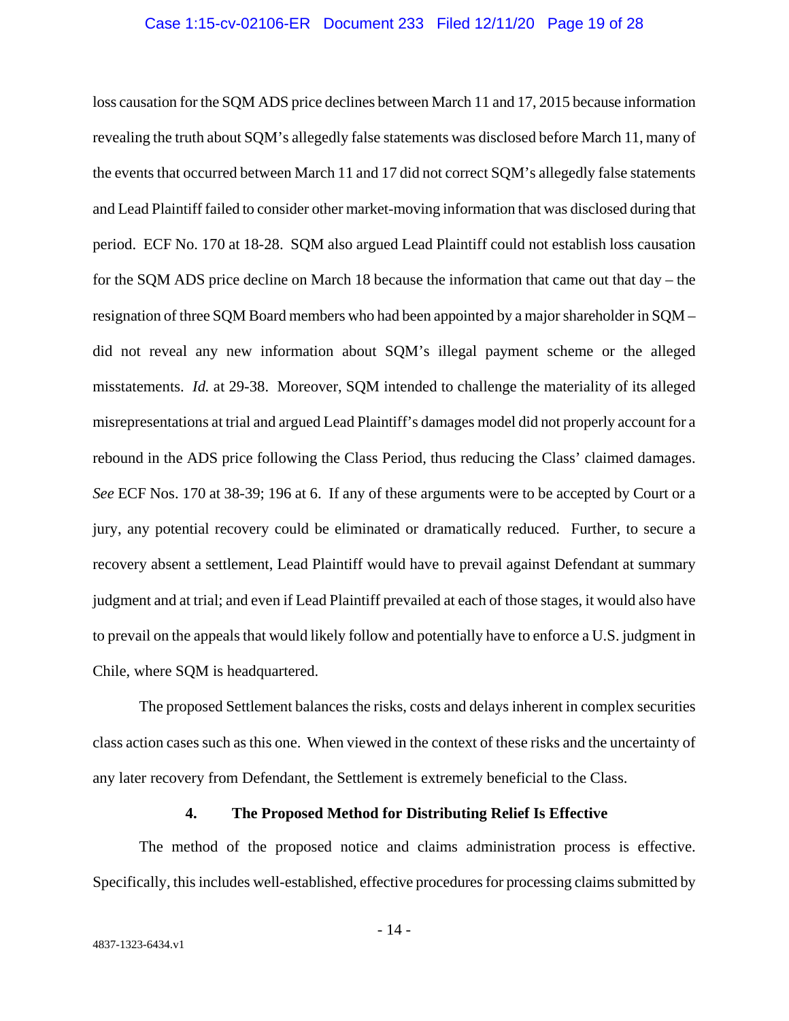#### Case 1:15-cv-02106-ER Document 233 Filed 12/11/20 Page 19 of 28

loss causation for the SQM ADS price declines between March 11 and 17, 2015 because information revealing the truth about SQM's allegedly false statements was disclosed before March 11, many of the events that occurred between March 11 and 17 did not correct SQM's allegedly false statements and Lead Plaintiff failed to consider other market-moving information that was disclosed during that period. ECF No. 170 at 18-28. SQM also argued Lead Plaintiff could not establish loss causation for the SQM ADS price decline on March 18 because the information that came out that day – the resignation of three SQM Board members who had been appointed by a major shareholder in SQM – did not reveal any new information about SQM's illegal payment scheme or the alleged misstatements. *Id.* at 29-38. Moreover, SQM intended to challenge the materiality of its alleged misrepresentations at trial and argued Lead Plaintiff's damages model did not properly account for a rebound in the ADS price following the Class Period, thus reducing the Class' claimed damages. *See* ECF Nos. 170 at 38-39; 196 at 6. If any of these arguments were to be accepted by Court or a jury, any potential recovery could be eliminated or dramatically reduced. Further, to secure a recovery absent a settlement, Lead Plaintiff would have to prevail against Defendant at summary judgment and at trial; and even if Lead Plaintiff prevailed at each of those stages, it would also have to prevail on the appeals that would likely follow and potentially have to enforce a U.S. judgment in Chile, where SQM is headquartered.

The proposed Settlement balances the risks, costs and delays inherent in complex securities class action cases such as this one. When viewed in the context of these risks and the uncertainty of any later recovery from Defendant, the Settlement is extremely beneficial to the Class.

#### **4. The Proposed Method for Distributing Relief Is Effective**

The method of the proposed notice and claims administration process is effective. Specifically, this includes well-established, effective procedures for processing claims submitted by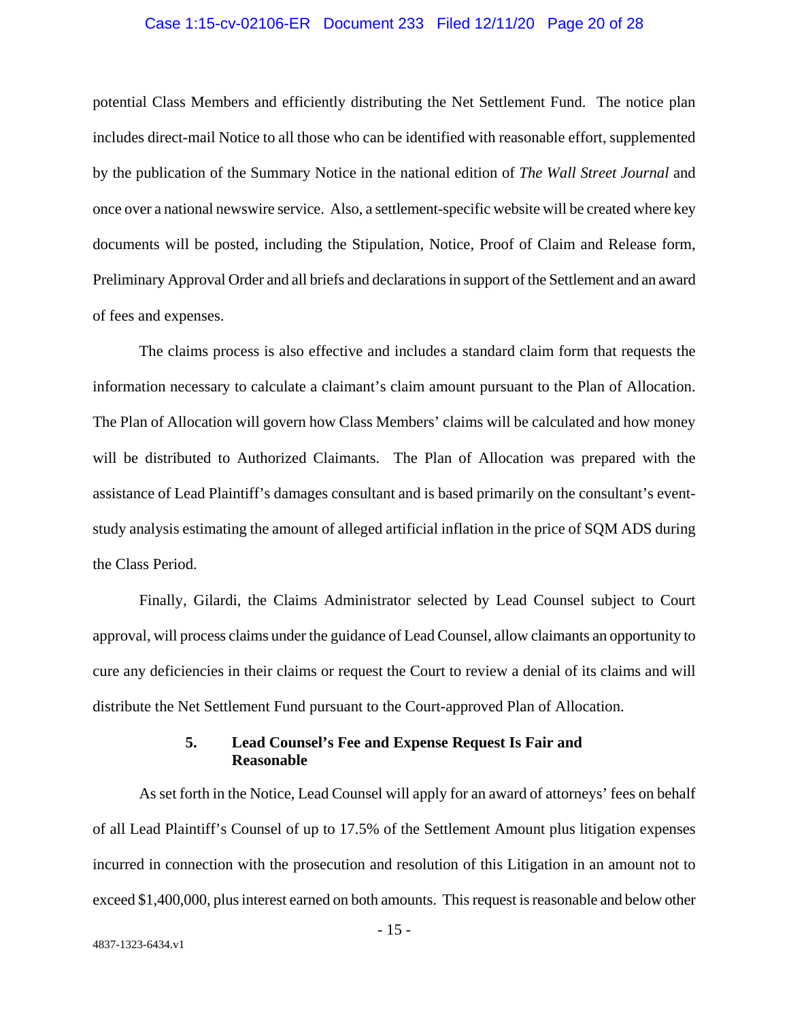#### Case 1:15-cv-02106-ER Document 233 Filed 12/11/20 Page 20 of 28

potential Class Members and efficiently distributing the Net Settlement Fund. The notice plan includes direct-mail Notice to all those who can be identified with reasonable effort, supplemented by the publication of the Summary Notice in the national edition of *The Wall Street Journal* and once over a national newswire service. Also, a settlement-specific website will be created where key documents will be posted, including the Stipulation, Notice, Proof of Claim and Release form, Preliminary Approval Order and all briefs and declarations in support of the Settlement and an award of fees and expenses.

The claims process is also effective and includes a standard claim form that requests the information necessary to calculate a claimant's claim amount pursuant to the Plan of Allocation. The Plan of Allocation will govern how Class Members' claims will be calculated and how money will be distributed to Authorized Claimants. The Plan of Allocation was prepared with the assistance of Lead Plaintiff's damages consultant and is based primarily on the consultant's eventstudy analysis estimating the amount of alleged artificial inflation in the price of SQM ADS during the Class Period.

Finally, Gilardi, the Claims Administrator selected by Lead Counsel subject to Court approval, will process claims under the guidance of Lead Counsel, allow claimants an opportunity to cure any deficiencies in their claims or request the Court to review a denial of its claims and will distribute the Net Settlement Fund pursuant to the Court-approved Plan of Allocation.

## **5. Lead Counsel's Fee and Expense Request Is Fair and Reasonable**

As set forth in the Notice, Lead Counsel will apply for an award of attorneys' fees on behalf of all Lead Plaintiff's Counsel of up to 17.5% of the Settlement Amount plus litigation expenses incurred in connection with the prosecution and resolution of this Litigation in an amount not to exceed \$1,400,000, plus interest earned on both amounts. This request is reasonable and below other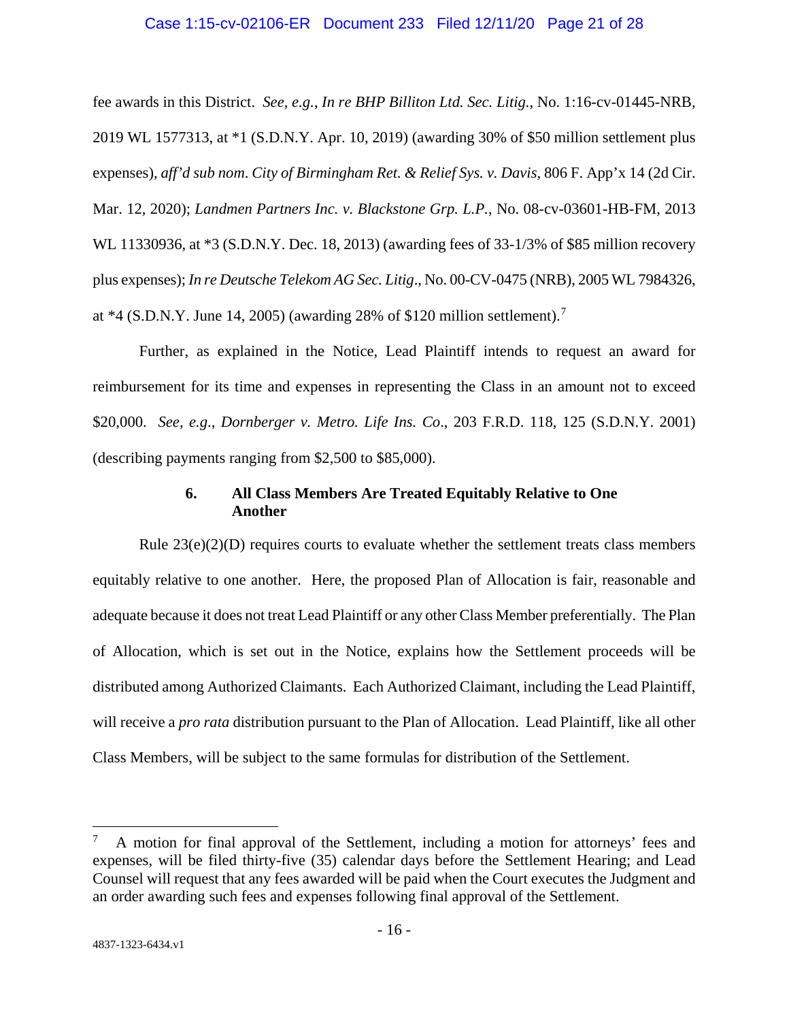#### Case 1:15-cv-02106-ER Document 233 Filed 12/11/20 Page 21 of 28

fee awards in this District. *See, e.g.*, *In re BHP Billiton Ltd. Sec. Litig.*, No. 1:16-cv-01445-NRB, 2019 WL 1577313, at \*1 (S.D.N.Y. Apr. 10, 2019) (awarding 30% of \$50 million settlement plus expenses), *aff'd sub nom*. *City of Birmingham Ret. & Relief Sys. v. Davis*, 806 F. App'x 14 (2d Cir. Mar. 12, 2020); *Landmen Partners Inc. v. Blackstone Grp. L.P.*, No. 08-cv-03601-HB-FM, 2013 WL 11330936, at \*3 (S.D.N.Y. Dec. 18, 2013) (awarding fees of 33-1/3% of \$85 million recovery plus expenses); *In re Deutsche Telekom AG Sec. Litig*., No. 00-CV-0475 (NRB), 2005 WL 7984326, at  $*4$  (S.D.N.Y. June 14, 2005) (awarding 28% of \$120 million settlement).<sup>7</sup>

Further, as explained in the Notice, Lead Plaintiff intends to request an award for reimbursement for its time and expenses in representing the Class in an amount not to exceed \$20,000. *See, e.g*., *Dornberger v. Metro. Life Ins. Co*., 203 F.R.D. 118, 125 (S.D.N.Y. 2001) (describing payments ranging from \$2,500 to \$85,000).

## **6. All Class Members Are Treated Equitably Relative to One Another**

Rule  $23(e)(2)(D)$  requires courts to evaluate whether the settlement treats class members equitably relative to one another. Here, the proposed Plan of Allocation is fair, reasonable and adequate because it does not treat Lead Plaintiff or any other Class Member preferentially. The Plan of Allocation, which is set out in the Notice, explains how the Settlement proceeds will be distributed among Authorized Claimants. Each Authorized Claimant, including the Lead Plaintiff, will receive a *pro rata* distribution pursuant to the Plan of Allocation. Lead Plaintiff, like all other Class Members, will be subject to the same formulas for distribution of the Settlement.

 <sup>7</sup> A motion for final approval of the Settlement, including a motion for attorneys' fees and expenses, will be filed thirty-five (35) calendar days before the Settlement Hearing; and Lead Counsel will request that any fees awarded will be paid when the Court executes the Judgment and an order awarding such fees and expenses following final approval of the Settlement.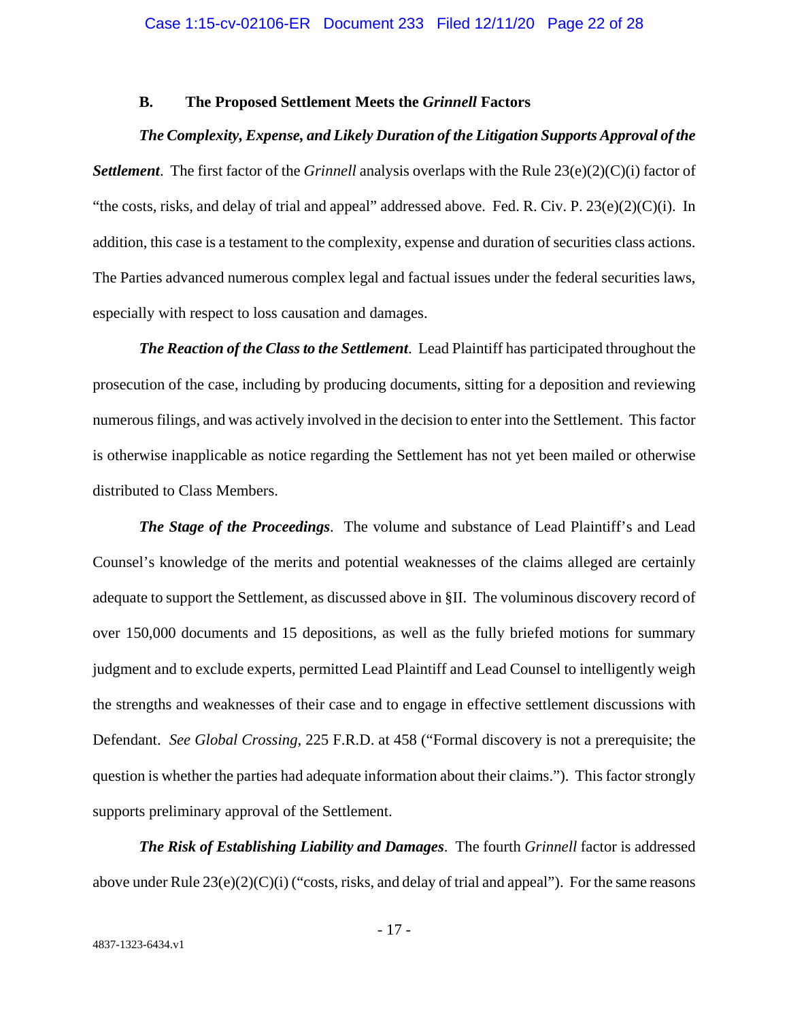## **B. The Proposed Settlement Meets the** *Grinnell* **Factors**

#### *The Complexity, Expense, and Likely Duration of the Litigation Supports Approval of the*

*Settlement*. The first factor of the *Grinnell* analysis overlaps with the Rule 23(e)(2)(C)(i) factor of "the costs, risks, and delay of trial and appeal" addressed above. Fed. R. Civ. P. 23(e)(2)(C)(i). In addition, this case is a testament to the complexity, expense and duration of securities class actions. The Parties advanced numerous complex legal and factual issues under the federal securities laws, especially with respect to loss causation and damages.

*The Reaction of the Class to the Settlement*. Lead Plaintiff has participated throughout the prosecution of the case, including by producing documents, sitting for a deposition and reviewing numerous filings, and was actively involved in the decision to enter into the Settlement. This factor is otherwise inapplicable as notice regarding the Settlement has not yet been mailed or otherwise distributed to Class Members.

*The Stage of the Proceedings*. The volume and substance of Lead Plaintiff's and Lead Counsel's knowledge of the merits and potential weaknesses of the claims alleged are certainly adequate to support the Settlement, as discussed above in §II. The voluminous discovery record of over 150,000 documents and 15 depositions, as well as the fully briefed motions for summary judgment and to exclude experts, permitted Lead Plaintiff and Lead Counsel to intelligently weigh the strengths and weaknesses of their case and to engage in effective settlement discussions with Defendant. *See Global Crossing*, 225 F.R.D. at 458 ("Formal discovery is not a prerequisite; the question is whether the parties had adequate information about their claims."). This factor strongly supports preliminary approval of the Settlement.

*The Risk of Establishing Liability and Damages*. The fourth *Grinnell* factor is addressed above under Rule 23(e)(2)(C)(i) ("costs, risks, and delay of trial and appeal"). For the same reasons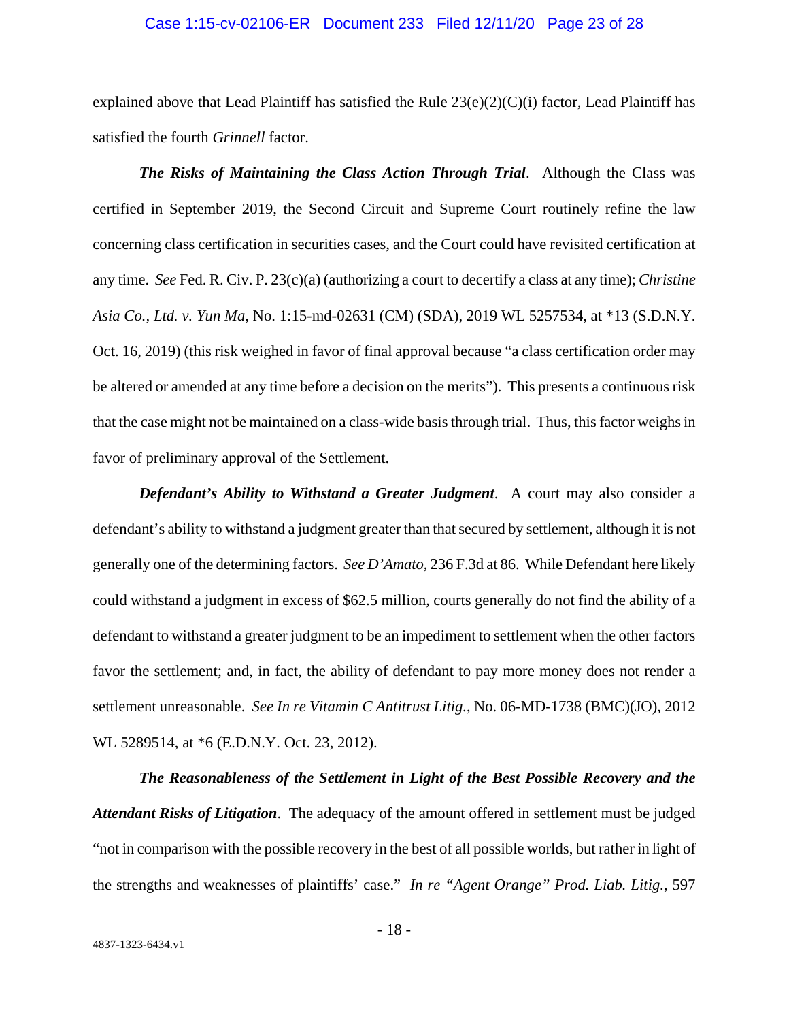#### Case 1:15-cv-02106-ER Document 233 Filed 12/11/20 Page 23 of 28

explained above that Lead Plaintiff has satisfied the Rule  $23(e)(2)(C)(i)$  factor, Lead Plaintiff has satisfied the fourth *Grinnell* factor.

*The Risks of Maintaining the Class Action Through Trial*. Although the Class was certified in September 2019, the Second Circuit and Supreme Court routinely refine the law concerning class certification in securities cases, and the Court could have revisited certification at any time. *See* Fed. R. Civ. P. 23(c)(a) (authorizing a court to decertify a class at any time); *Christine Asia Co., Ltd. v. Yun Ma*, No. 1:15-md-02631 (CM) (SDA), 2019 WL 5257534, at \*13 (S.D.N.Y. Oct. 16, 2019) (this risk weighed in favor of final approval because "a class certification order may be altered or amended at any time before a decision on the merits"). This presents a continuous risk that the case might not be maintained on a class-wide basis through trial. Thus, this factor weighs in favor of preliminary approval of the Settlement.

*Defendant's Ability to Withstand a Greater Judgment*. A court may also consider a defendant's ability to withstand a judgment greater than that secured by settlement, although it is not generally one of the determining factors. *See D'Amato*, 236 F.3d at 86. While Defendant here likely could withstand a judgment in excess of \$62.5 million, courts generally do not find the ability of a defendant to withstand a greater judgment to be an impediment to settlement when the other factors favor the settlement; and, in fact, the ability of defendant to pay more money does not render a settlement unreasonable. *See In re Vitamin C Antitrust Litig.*, No. 06-MD-1738 (BMC)(JO), 2012 WL 5289514, at \*6 (E.D.N.Y. Oct. 23, 2012).

*The Reasonableness of the Settlement in Light of the Best Possible Recovery and the Attendant Risks of Litigation*. The adequacy of the amount offered in settlement must be judged "not in comparison with the possible recovery in the best of all possible worlds, but rather in light of the strengths and weaknesses of plaintiffs' case." *In re "Agent Orange" Prod. Liab. Litig.*, 597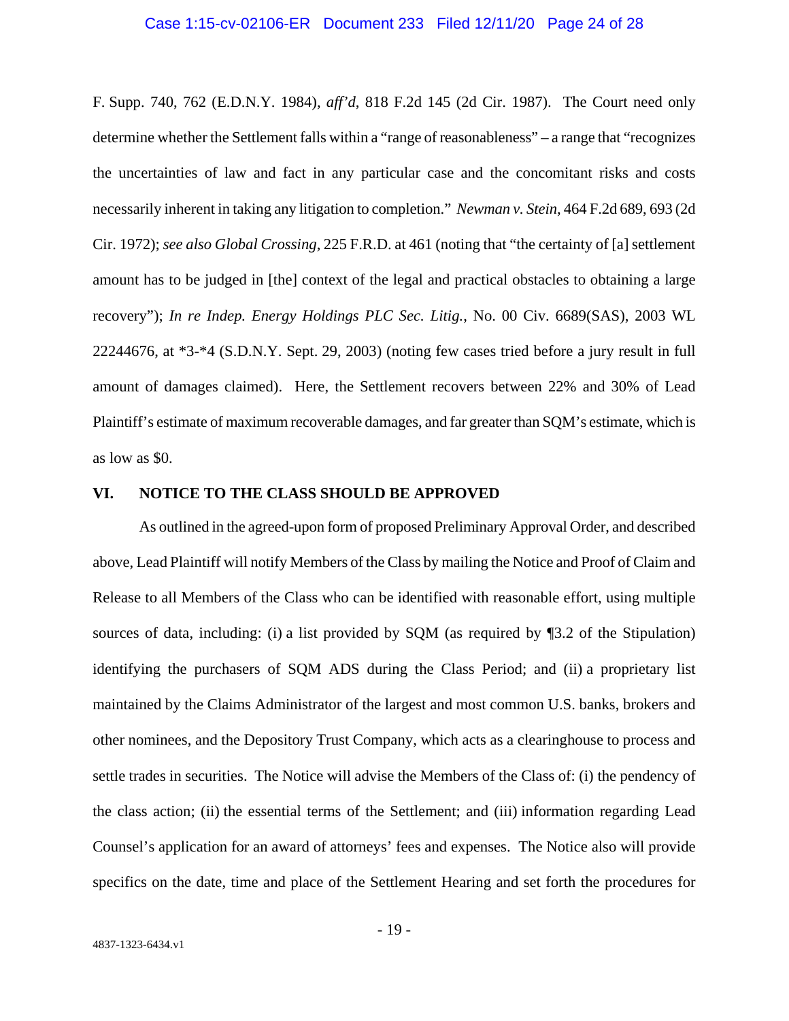F. Supp. 740, 762 (E.D.N.Y. 1984), *aff'd*, 818 F.2d 145 (2d Cir. 1987). The Court need only determine whether the Settlement falls within a "range of reasonableness" – a range that "recognizes the uncertainties of law and fact in any particular case and the concomitant risks and costs necessarily inherent in taking any litigation to completion." *Newman v. Stein*, 464 F.2d 689, 693 (2d Cir. 1972); *see also Global Crossing*, 225 F.R.D. at 461 (noting that "the certainty of [a] settlement amount has to be judged in [the] context of the legal and practical obstacles to obtaining a large recovery"); *In re Indep. Energy Holdings PLC Sec. Litig.*, No. 00 Civ. 6689(SAS), 2003 WL 22244676, at \*3-\*4 (S.D.N.Y. Sept. 29, 2003) (noting few cases tried before a jury result in full amount of damages claimed). Here, the Settlement recovers between 22% and 30% of Lead Plaintiff's estimate of maximum recoverable damages, and far greater than SQM's estimate, which is as low as \$0.

## **VI. NOTICE TO THE CLASS SHOULD BE APPROVED**

As outlined in the agreed-upon form of proposed Preliminary Approval Order, and described above, Lead Plaintiff will notify Members of the Class by mailing the Notice and Proof of Claim and Release to all Members of the Class who can be identified with reasonable effort, using multiple sources of data, including: (i) a list provided by SQM (as required by  $\P$ 3.2 of the Stipulation) identifying the purchasers of SQM ADS during the Class Period; and (ii) a proprietary list maintained by the Claims Administrator of the largest and most common U.S. banks, brokers and other nominees, and the Depository Trust Company, which acts as a clearinghouse to process and settle trades in securities. The Notice will advise the Members of the Class of: (i) the pendency of the class action; (ii) the essential terms of the Settlement; and (iii) information regarding Lead Counsel's application for an award of attorneys' fees and expenses. The Notice also will provide specifics on the date, time and place of the Settlement Hearing and set forth the procedures for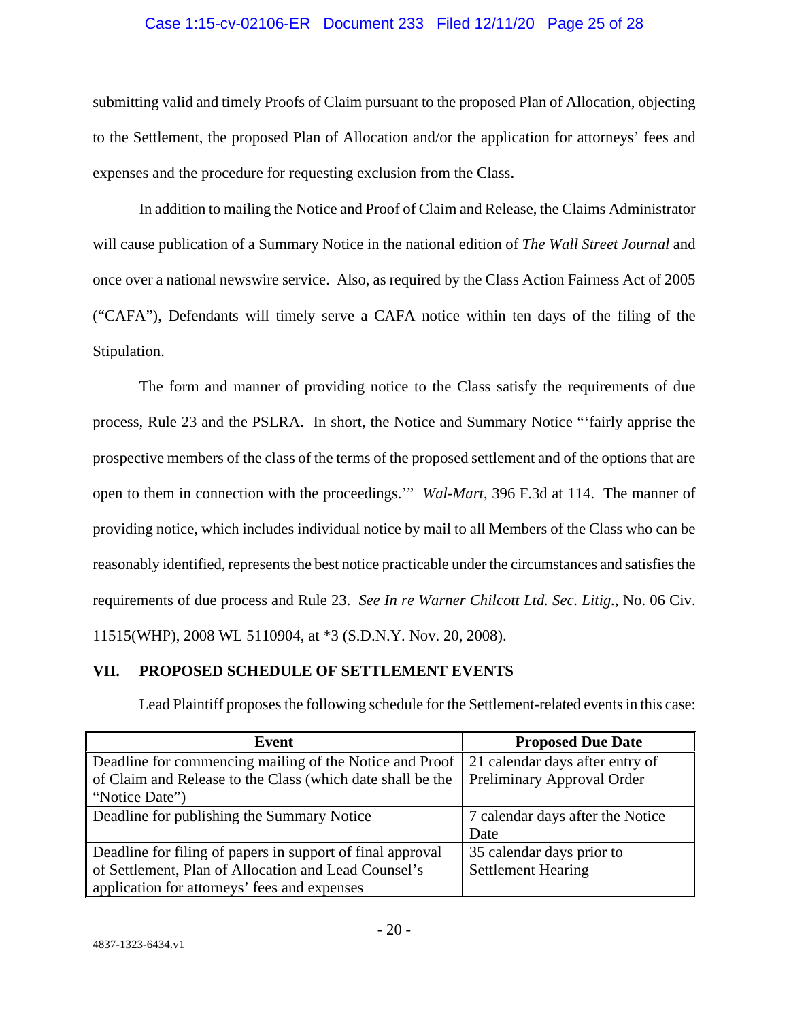## Case 1:15-cv-02106-ER Document 233 Filed 12/11/20 Page 25 of 28

submitting valid and timely Proofs of Claim pursuant to the proposed Plan of Allocation, objecting to the Settlement, the proposed Plan of Allocation and/or the application for attorneys' fees and expenses and the procedure for requesting exclusion from the Class.

In addition to mailing the Notice and Proof of Claim and Release, the Claims Administrator will cause publication of a Summary Notice in the national edition of *The Wall Street Journal* and once over a national newswire service. Also, as required by the Class Action Fairness Act of 2005 ("CAFA"), Defendants will timely serve a CAFA notice within ten days of the filing of the Stipulation.

The form and manner of providing notice to the Class satisfy the requirements of due process, Rule 23 and the PSLRA. In short, the Notice and Summary Notice "'fairly apprise the prospective members of the class of the terms of the proposed settlement and of the options that are open to them in connection with the proceedings.'" *Wal-Mart*, 396 F.3d at 114. The manner of providing notice, which includes individual notice by mail to all Members of the Class who can be reasonably identified, represents the best notice practicable under the circumstances and satisfies the requirements of due process and Rule 23. *See In re Warner Chilcott Ltd. Sec. Litig.*, No. 06 Civ. 11515(WHP), 2008 WL 5110904, at \*3 (S.D.N.Y. Nov. 20, 2008).

## **VII. PROPOSED SCHEDULE OF SETTLEMENT EVENTS**

Lead Plaintiff proposes the following schedule for the Settlement-related events in this case:

| Event                                                      | <b>Proposed Due Date</b>         |
|------------------------------------------------------------|----------------------------------|
| Deadline for commencing mailing of the Notice and Proof    | 21 calendar days after entry of  |
| of Claim and Release to the Class (which date shall be the | Preliminary Approval Order       |
| "Notice Date")                                             |                                  |
| Deadline for publishing the Summary Notice                 | 7 calendar days after the Notice |
|                                                            | Date                             |
| Deadline for filing of papers in support of final approval | 35 calendar days prior to        |
| of Settlement, Plan of Allocation and Lead Counsel's       | <b>Settlement Hearing</b>        |
| application for attorneys' fees and expenses               |                                  |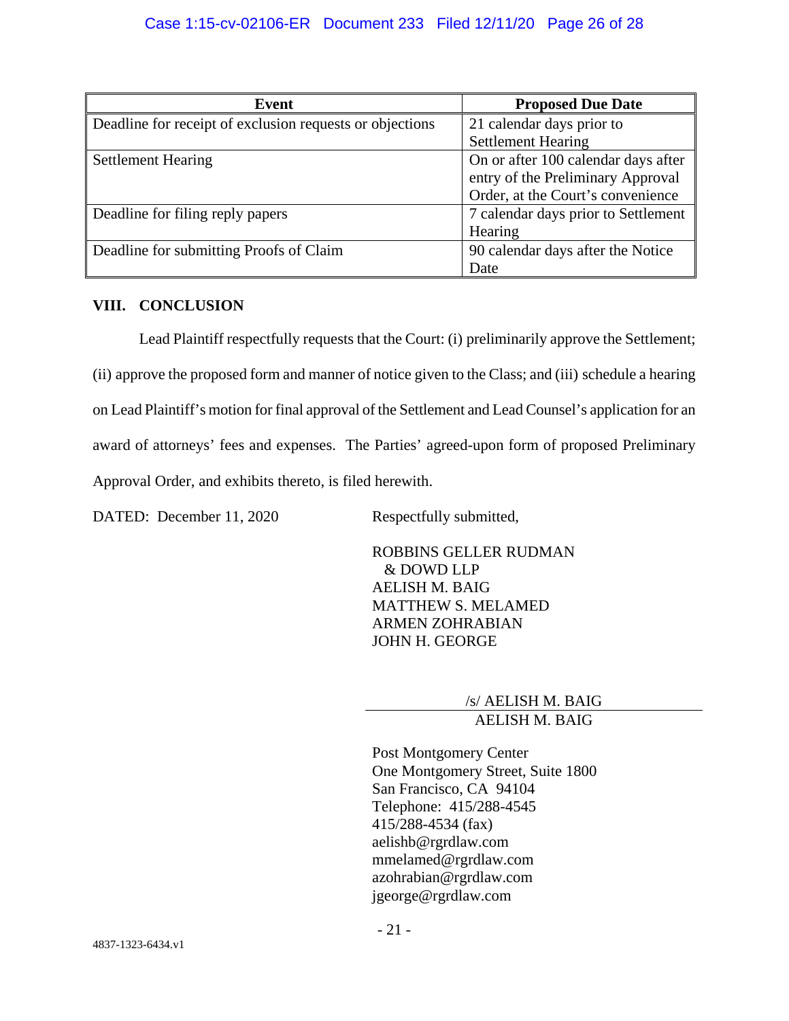| Event                                                    | <b>Proposed Due Date</b>            |
|----------------------------------------------------------|-------------------------------------|
| Deadline for receipt of exclusion requests or objections | 21 calendar days prior to           |
|                                                          | <b>Settlement Hearing</b>           |
| <b>Settlement Hearing</b>                                | On or after 100 calendar days after |
|                                                          | entry of the Preliminary Approval   |
|                                                          | Order, at the Court's convenience   |
| Deadline for filing reply papers                         | 7 calendar days prior to Settlement |
|                                                          | Hearing                             |
| Deadline for submitting Proofs of Claim                  | 90 calendar days after the Notice   |
|                                                          | Date                                |

## **VIII. CONCLUSION**

Lead Plaintiff respectfully requests that the Court: (i) preliminarily approve the Settlement; (ii) approve the proposed form and manner of notice given to the Class; and (iii) schedule a hearing on Lead Plaintiff's motion for final approval of the Settlement and Lead Counsel's application for an award of attorneys' fees and expenses. The Parties' agreed-upon form of proposed Preliminary Approval Order, and exhibits thereto, is filed herewith.

DATED: December 11, 2020 Respectfully submitted,

ROBBINS GELLER RUDMAN & DOWD LLP AELISH M. BAIG MATTHEW S. MELAMED ARMEN ZOHRABIAN JOHN H. GEORGE

## /s/ AELISH M. BAIG AELISH M. BAIG

Post Montgomery Center One Montgomery Street, Suite 1800 San Francisco, CA 94104 Telephone: 415/288-4545 415/288-4534 (fax) aelishb@rgrdlaw.com mmelamed@rgrdlaw.com azohrabian@rgrdlaw.com jgeorge@rgrdlaw.com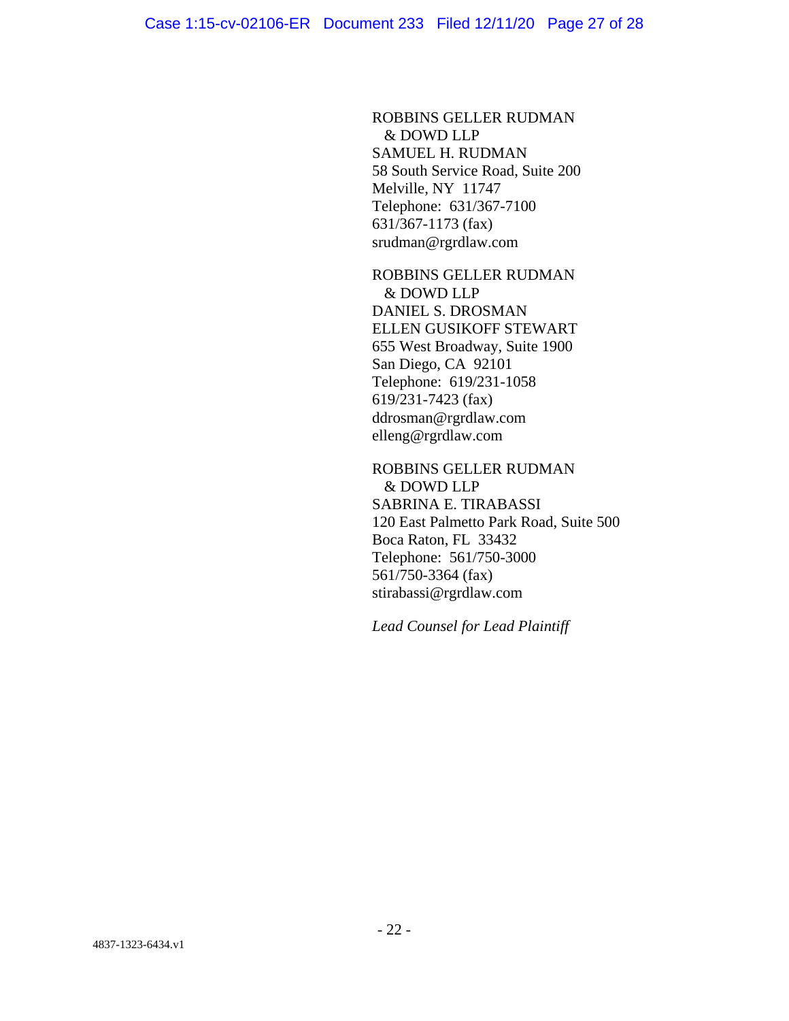ROBBINS GELLER RUDMAN & DOWD LLP SAMUEL H. RUDMAN 58 South Service Road, Suite 200 Melville, NY 11747 Telephone: 631/367-7100 631/367-1173 (fax) srudman@rgrdlaw.com

ROBBINS GELLER RUDMAN & DOWD LLP DANIEL S. DROSMAN ELLEN GUSIKOFF STEWART 655 West Broadway, Suite 1900 San Diego, CA 92101 Telephone: 619/231-1058 619/231-7423 (fax) ddrosman@rgrdlaw.com elleng@rgrdlaw.com

ROBBINS GELLER RUDMAN & DOWD LLP SABRINA E. TIRABASSI 120 East Palmetto Park Road, Suite 500 Boca Raton, FL 33432 Telephone: 561/750-3000 561/750-3364 (fax) stirabassi@rgrdlaw.com

*Lead Counsel for Lead Plaintiff*